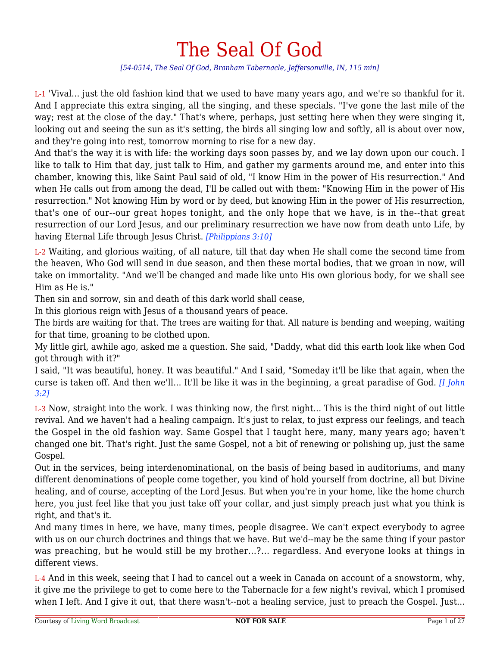# The Seal Of God

*[54-0514, The Seal Of God, Branham Tabernacle, Jeffersonville, IN, 115 min]*

L-1 'Vival... just the old fashion kind that we used to have many years ago, and we're so thankful for it. And I appreciate this extra singing, all the singing, and these specials. "I've gone the last mile of the way; rest at the close of the day." That's where, perhaps, just setting here when they were singing it, looking out and seeing the sun as it's setting, the birds all singing low and softly, all is about over now, and they're going into rest, tomorrow morning to rise for a new day.

And that's the way it is with life: the working days soon passes by, and we lay down upon our couch. I like to talk to Him that day, just talk to Him, and gather my garments around me, and enter into this chamber, knowing this, like Saint Paul said of old, "I know Him in the power of His resurrection." And when He calls out from among the dead, I'll be called out with them: "Knowing Him in the power of His resurrection." Not knowing Him by word or by deed, but knowing Him in the power of His resurrection, that's one of our--our great hopes tonight, and the only hope that we have, is in the--that great resurrection of our Lord Jesus, and our preliminary resurrection we have now from death unto Life, by having Eternal Life through Jesus Christ. *[Philippians 3:10]*

L-2 Waiting, and glorious waiting, of all nature, till that day when He shall come the second time from the heaven, Who God will send in due season, and then these mortal bodies, that we groan in now, will take on immortality. "And we'll be changed and made like unto His own glorious body, for we shall see Him as He is."

Then sin and sorrow, sin and death of this dark world shall cease,

In this glorious reign with Jesus of a thousand years of peace.

The birds are waiting for that. The trees are waiting for that. All nature is bending and weeping, waiting for that time, groaning to be clothed upon.

My little girl, awhile ago, asked me a question. She said, "Daddy, what did this earth look like when God got through with it?"

I said, "It was beautiful, honey. It was beautiful." And I said, "Someday it'll be like that again, when the curse is taken off. And then we'll... It'll be like it was in the beginning, a great paradise of God. *[I John 3:2]*

L-3 Now, straight into the work. I was thinking now, the first night... This is the third night of out little revival. And we haven't had a healing campaign. It's just to relax, to just express our feelings, and teach the Gospel in the old fashion way. Same Gospel that I taught here, many, many years ago; haven't changed one bit. That's right. Just the same Gospel, not a bit of renewing or polishing up, just the same Gospel.

Out in the services, being interdenominational, on the basis of being based in auditoriums, and many different denominations of people come together, you kind of hold yourself from doctrine, all but Divine healing, and of course, accepting of the Lord Jesus. But when you're in your home, like the home church here, you just feel like that you just take off your collar, and just simply preach just what you think is right, and that's it.

And many times in here, we have, many times, people disagree. We can't expect everybody to agree with us on our church doctrines and things that we have. But we'd--may be the same thing if your pastor was preaching, but he would still be my brother...?... regardless. And everyone looks at things in different views.

L-4 And in this week, seeing that I had to cancel out a week in Canada on account of a snowstorm, why, it give me the privilege to get to come here to the Tabernacle for a few night's revival, which I promised when I left. And I give it out, that there wasn't--not a healing service, just to preach the Gospel. Just...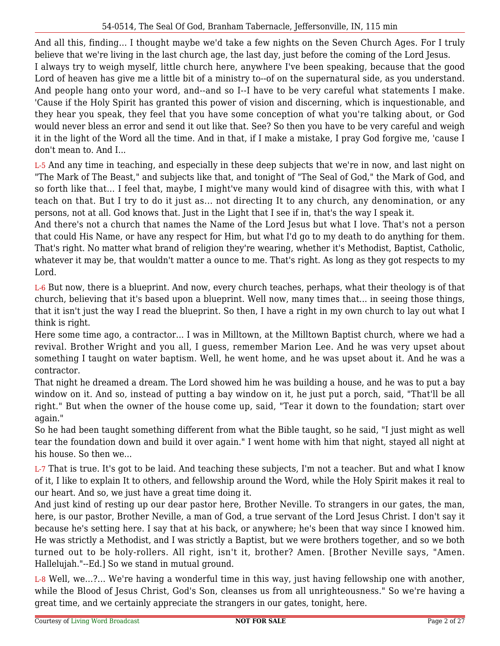And all this, finding... I thought maybe we'd take a few nights on the Seven Church Ages. For I truly believe that we're living in the last church age, the last day, just before the coming of the Lord Jesus.

I always try to weigh myself, little church here, anywhere I've been speaking, because that the good Lord of heaven has give me a little bit of a ministry to--of on the supernatural side, as you understand. And people hang onto your word, and--and so I--I have to be very careful what statements I make. 'Cause if the Holy Spirit has granted this power of vision and discerning, which is inquestionable, and they hear you speak, they feel that you have some conception of what you're talking about, or God would never bless an error and send it out like that. See? So then you have to be very careful and weigh it in the light of the Word all the time. And in that, if I make a mistake, I pray God forgive me, 'cause I don't mean to. And I...

L-5 And any time in teaching, and especially in these deep subjects that we're in now, and last night on "The Mark of The Beast," and subjects like that, and tonight of "The Seal of God," the Mark of God, and so forth like that... I feel that, maybe, I might've many would kind of disagree with this, with what I teach on that. But I try to do it just as... not directing It to any church, any denomination, or any persons, not at all. God knows that. Just in the Light that I see if in, that's the way I speak it.

And there's not a church that names the Name of the Lord Jesus but what I love. That's not a person that could His Name, or have any respect for Him, but what I'd go to my death to do anything for them. That's right. No matter what brand of religion they're wearing, whether it's Methodist, Baptist, Catholic, whatever it may be, that wouldn't matter a ounce to me. That's right. As long as they got respects to my Lord.

L-6 But now, there is a blueprint. And now, every church teaches, perhaps, what their theology is of that church, believing that it's based upon a blueprint. Well now, many times that... in seeing those things, that it isn't just the way I read the blueprint. So then, I have a right in my own church to lay out what I think is right.

Here some time ago, a contractor... I was in Milltown, at the Milltown Baptist church, where we had a revival. Brother Wright and you all, I guess, remember Marion Lee. And he was very upset about something I taught on water baptism. Well, he went home, and he was upset about it. And he was a contractor.

That night he dreamed a dream. The Lord showed him he was building a house, and he was to put a bay window on it. And so, instead of putting a bay window on it, he just put a porch, said, "That'll be all right." But when the owner of the house come up, said, "Tear it down to the foundation; start over again."

So he had been taught something different from what the Bible taught, so he said, "I just might as well tear the foundation down and build it over again." I went home with him that night, stayed all night at his house. So then we...

L-7 That is true. It's got to be laid. And teaching these subjects, I'm not a teacher. But and what I know of it, I like to explain It to others, and fellowship around the Word, while the Holy Spirit makes it real to our heart. And so, we just have a great time doing it.

And just kind of resting up our dear pastor here, Brother Neville. To strangers in our gates, the man, here, is our pastor, Brother Neville, a man of God, a true servant of the Lord Jesus Christ. I don't say it because he's setting here. I say that at his back, or anywhere; he's been that way since I knowed him. He was strictly a Methodist, and I was strictly a Baptist, but we were brothers together, and so we both turned out to be holy-rollers. All right, isn't it, brother? Amen. [Brother Neville says, "Amen. Hallelujah."--Ed.] So we stand in mutual ground.

L-8 Well, we...?... We're having a wonderful time in this way, just having fellowship one with another, while the Blood of Jesus Christ, God's Son, cleanses us from all unrighteousness." So we're having a great time, and we certainly appreciate the strangers in our gates, tonight, here.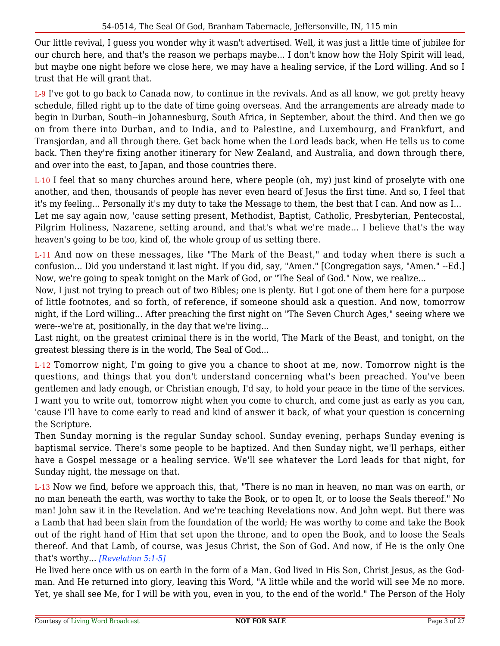Our little revival, I guess you wonder why it wasn't advertised. Well, it was just a little time of jubilee for our church here, and that's the reason we perhaps maybe... I don't know how the Holy Spirit will lead, but maybe one night before we close here, we may have a healing service, if the Lord willing. And so I trust that He will grant that.

L-9 I've got to go back to Canada now, to continue in the revivals. And as all know, we got pretty heavy schedule, filled right up to the date of time going overseas. And the arrangements are already made to begin in Durban, South--in Johannesburg, South Africa, in September, about the third. And then we go on from there into Durban, and to India, and to Palestine, and Luxembourg, and Frankfurt, and Transjordan, and all through there. Get back home when the Lord leads back, when He tells us to come back. Then they're fixing another itinerary for New Zealand, and Australia, and down through there, and over into the east, to Japan, and those countries there.

L-10 I feel that so many churches around here, where people (oh, my) just kind of proselyte with one another, and then, thousands of people has never even heard of Jesus the first time. And so, I feel that it's my feeling... Personally it's my duty to take the Message to them, the best that I can. And now as I... Let me say again now, 'cause setting present, Methodist, Baptist, Catholic, Presbyterian, Pentecostal, Pilgrim Holiness, Nazarene, setting around, and that's what we're made... I believe that's the way heaven's going to be too, kind of, the whole group of us setting there.

L-11 And now on these messages, like "The Mark of the Beast," and today when there is such a confusion... Did you understand it last night. If you did, say, "Amen." [Congregation says, "Amen." --Ed.] Now, we're going to speak tonight on the Mark of God, or "The Seal of God." Now, we realize...

Now, I just not trying to preach out of two Bibles; one is plenty. But I got one of them here for a purpose of little footnotes, and so forth, of reference, if someone should ask a question. And now, tomorrow night, if the Lord willing... After preaching the first night on "The Seven Church Ages," seeing where we were--we're at, positionally, in the day that we're living...

Last night, on the greatest criminal there is in the world, The Mark of the Beast, and tonight, on the greatest blessing there is in the world, The Seal of God...

L-12 Tomorrow night, I'm going to give you a chance to shoot at me, now. Tomorrow night is the questions, and things that you don't understand concerning what's been preached. You've been gentlemen and lady enough, or Christian enough, I'd say, to hold your peace in the time of the services. I want you to write out, tomorrow night when you come to church, and come just as early as you can, 'cause I'll have to come early to read and kind of answer it back, of what your question is concerning the Scripture.

Then Sunday morning is the regular Sunday school. Sunday evening, perhaps Sunday evening is baptismal service. There's some people to be baptized. And then Sunday night, we'll perhaps, either have a Gospel message or a healing service. We'll see whatever the Lord leads for that night, for Sunday night, the message on that.

L-13 Now we find, before we approach this, that, "There is no man in heaven, no man was on earth, or no man beneath the earth, was worthy to take the Book, or to open It, or to loose the Seals thereof." No man! John saw it in the Revelation. And we're teaching Revelations now. And John wept. But there was a Lamb that had been slain from the foundation of the world; He was worthy to come and take the Book out of the right hand of Him that set upon the throne, and to open the Book, and to loose the Seals thereof. And that Lamb, of course, was Jesus Christ, the Son of God. And now, if He is the only One that's worthy... *[Revelation 5:1-5]*

He lived here once with us on earth in the form of a Man. God lived in His Son, Christ Jesus, as the Godman. And He returned into glory, leaving this Word, "A little while and the world will see Me no more. Yet, ye shall see Me, for I will be with you, even in you, to the end of the world." The Person of the Holy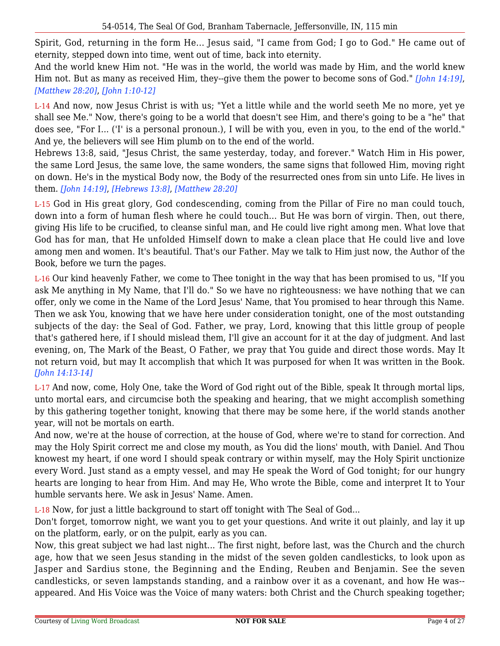Spirit, God, returning in the form He... Jesus said, "I came from God; I go to God." He came out of eternity, stepped down into time, went out of time, back into eternity.

And the world knew Him not. "He was in the world, the world was made by Him, and the world knew Him not. But as many as received Him, they--give them the power to become sons of God." *[John 14:19]*, *[Matthew 28:20]*, *[John 1:10-12]*

L-14 And now, now Jesus Christ is with us; "Yet a little while and the world seeth Me no more, yet ye shall see Me." Now, there's going to be a world that doesn't see Him, and there's going to be a "he" that does see, "For I... ('I' is a personal pronoun.), I will be with you, even in you, to the end of the world." And ye, the believers will see Him plumb on to the end of the world.

Hebrews 13:8, said, "Jesus Christ, the same yesterday, today, and forever." Watch Him in His power, the same Lord Jesus, the same love, the same wonders, the same signs that followed Him, moving right on down. He's in the mystical Body now, the Body of the resurrected ones from sin unto Life. He lives in them. *[John 14:19]*, *[Hebrews 13:8]*, *[Matthew 28:20]*

L-15 God in His great glory, God condescending, coming from the Pillar of Fire no man could touch, down into a form of human flesh where he could touch... But He was born of virgin. Then, out there, giving His life to be crucified, to cleanse sinful man, and He could live right among men. What love that God has for man, that He unfolded Himself down to make a clean place that He could live and love among men and women. It's beautiful. That's our Father. May we talk to Him just now, the Author of the Book, before we turn the pages.

L-16 Our kind heavenly Father, we come to Thee tonight in the way that has been promised to us, "If you ask Me anything in My Name, that I'll do." So we have no righteousness: we have nothing that we can offer, only we come in the Name of the Lord Jesus' Name, that You promised to hear through this Name. Then we ask You, knowing that we have here under consideration tonight, one of the most outstanding subjects of the day: the Seal of God. Father, we pray, Lord, knowing that this little group of people that's gathered here, if I should mislead them, I'll give an account for it at the day of judgment. And last evening, on, The Mark of the Beast, O Father, we pray that You guide and direct those words. May It not return void, but may It accomplish that which It was purposed for when It was written in the Book. *[John 14:13-14]*

L-17 And now, come, Holy One, take the Word of God right out of the Bible, speak It through mortal lips, unto mortal ears, and circumcise both the speaking and hearing, that we might accomplish something by this gathering together tonight, knowing that there may be some here, if the world stands another year, will not be mortals on earth.

And now, we're at the house of correction, at the house of God, where we're to stand for correction. And may the Holy Spirit correct me and close my mouth, as You did the lions' mouth, with Daniel. And Thou knowest my heart, if one word I should speak contrary or within myself, may the Holy Spirit unctionize every Word. Just stand as a empty vessel, and may He speak the Word of God tonight; for our hungry hearts are longing to hear from Him. And may He, Who wrote the Bible, come and interpret It to Your humble servants here. We ask in Jesus' Name. Amen.

L-18 Now, for just a little background to start off tonight with The Seal of God...

Don't forget, tomorrow night, we want you to get your questions. And write it out plainly, and lay it up on the platform, early, or on the pulpit, early as you can.

Now, this great subject we had last night... The first night, before last, was the Church and the church age, how that we seen Jesus standing in the midst of the seven golden candlesticks, to look upon as Jasper and Sardius stone, the Beginning and the Ending, Reuben and Benjamin. See the seven candlesticks, or seven lampstands standing, and a rainbow over it as a covenant, and how He was- appeared. And His Voice was the Voice of many waters: both Christ and the Church speaking together;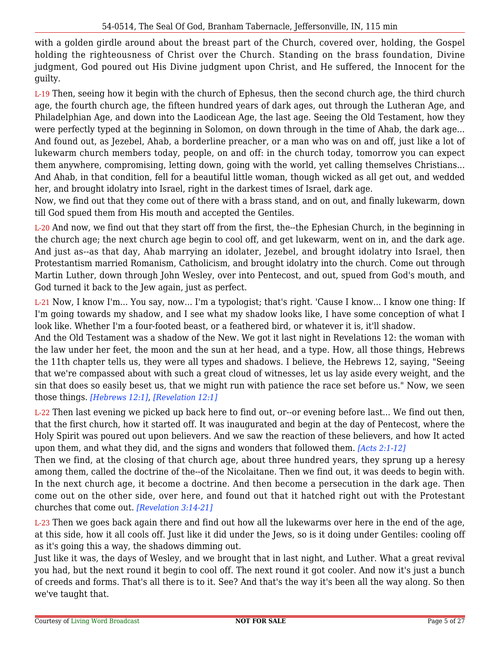with a golden girdle around about the breast part of the Church, covered over, holding, the Gospel holding the righteousness of Christ over the Church. Standing on the brass foundation, Divine judgment, God poured out His Divine judgment upon Christ, and He suffered, the Innocent for the guilty.

L-19 Then, seeing how it begin with the church of Ephesus, then the second church age, the third church age, the fourth church age, the fifteen hundred years of dark ages, out through the Lutheran Age, and Philadelphian Age, and down into the Laodicean Age, the last age. Seeing the Old Testament, how they were perfectly typed at the beginning in Solomon, on down through in the time of Ahab, the dark age... And found out, as Jezebel, Ahab, a borderline preacher, or a man who was on and off, just like a lot of lukewarm church members today, people, on and off: in the church today, tomorrow you can expect them anywhere, compromising, letting down, going with the world, yet calling themselves Christians... And Ahab, in that condition, fell for a beautiful little woman, though wicked as all get out, and wedded her, and brought idolatry into Israel, right in the darkest times of Israel, dark age.

Now, we find out that they come out of there with a brass stand, and on out, and finally lukewarm, down till God spued them from His mouth and accepted the Gentiles.

L-20 And now, we find out that they start off from the first, the--the Ephesian Church, in the beginning in the church age; the next church age begin to cool off, and get lukewarm, went on in, and the dark age. And just as--as that day, Ahab marrying an idolater, Jezebel, and brought idolatry into Israel, then Protestantism married Romanism, Catholicism, and brought idolatry into the church. Come out through Martin Luther, down through John Wesley, over into Pentecost, and out, spued from God's mouth, and God turned it back to the Jew again, just as perfect.

L-21 Now, I know I'm... You say, now... I'm a typologist; that's right. 'Cause I know... I know one thing: If I'm going towards my shadow, and I see what my shadow looks like, I have some conception of what I look like. Whether I'm a four-footed beast, or a feathered bird, or whatever it is, it'll shadow.

And the Old Testament was a shadow of the New. We got it last night in Revelations 12: the woman with the law under her feet, the moon and the sun at her head, and a type. How, all those things, Hebrews the 11th chapter tells us, they were all types and shadows. I believe, the Hebrews 12, saying, "Seeing that we're compassed about with such a great cloud of witnesses, let us lay aside every weight, and the sin that does so easily beset us, that we might run with patience the race set before us." Now, we seen those things. *[Hebrews 12:1]*, *[Revelation 12:1]*

L-22 Then last evening we picked up back here to find out, or--or evening before last... We find out then, that the first church, how it started off. It was inaugurated and begin at the day of Pentecost, where the Holy Spirit was poured out upon believers. And we saw the reaction of these believers, and how It acted upon them, and what they did, and the signs and wonders that followed them. *[Acts 2:1-12]*

Then we find, at the closing of that church age, about three hundred years, they sprung up a heresy among them, called the doctrine of the--of the Nicolaitane. Then we find out, it was deeds to begin with. In the next church age, it become a doctrine. And then become a persecution in the dark age. Then come out on the other side, over here, and found out that it hatched right out with the Protestant churches that come out. *[Revelation 3:14-21]*

L-23 Then we goes back again there and find out how all the lukewarms over here in the end of the age, at this side, how it all cools off. Just like it did under the Jews, so is it doing under Gentiles: cooling off as it's going this a way, the shadows dimming out.

Just like it was, the days of Wesley, and we brought that in last night, and Luther. What a great revival you had, but the next round it begin to cool off. The next round it got cooler. And now it's just a bunch of creeds and forms. That's all there is to it. See? And that's the way it's been all the way along. So then we've taught that.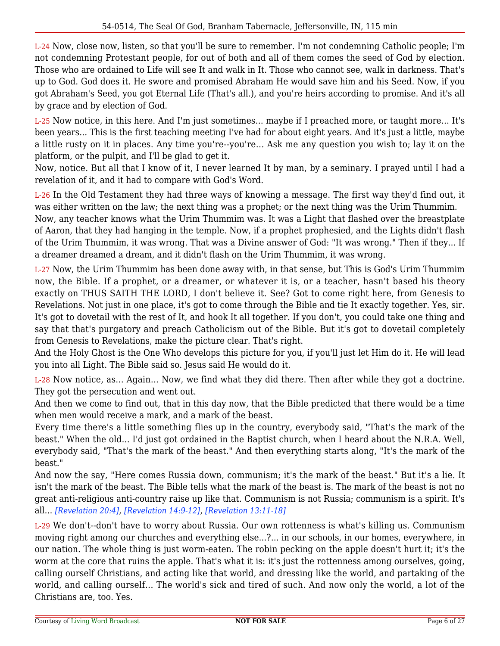L-24 Now, close now, listen, so that you'll be sure to remember. I'm not condemning Catholic people; I'm not condemning Protestant people, for out of both and all of them comes the seed of God by election. Those who are ordained to Life will see It and walk in It. Those who cannot see, walk in darkness. That's up to God. God does it. He swore and promised Abraham He would save him and his Seed. Now, if you got Abraham's Seed, you got Eternal Life (That's all.), and you're heirs according to promise. And it's all by grace and by election of God.

L-25 Now notice, in this here. And I'm just sometimes... maybe if I preached more, or taught more... It's been years... This is the first teaching meeting I've had for about eight years. And it's just a little, maybe a little rusty on it in places. Any time you're--you're... Ask me any question you wish to; lay it on the platform, or the pulpit, and I'll be glad to get it.

Now, notice. But all that I know of it, I never learned It by man, by a seminary. I prayed until I had a revelation of it, and it had to compare with God's Word.

L-26 In the Old Testament they had three ways of knowing a message. The first way they'd find out, it was either written on the law; the next thing was a prophet; or the next thing was the Urim Thummim. Now, any teacher knows what the Urim Thummim was. It was a Light that flashed over the breastplate of Aaron, that they had hanging in the temple. Now, if a prophet prophesied, and the Lights didn't flash of the Urim Thummim, it was wrong. That was a Divine answer of God: "It was wrong." Then if they... If a dreamer dreamed a dream, and it didn't flash on the Urim Thummim, it was wrong.

L-27 Now, the Urim Thummim has been done away with, in that sense, but This is God's Urim Thummim now, the Bible. If a prophet, or a dreamer, or whatever it is, or a teacher, hasn't based his theory exactly on THUS SAITH THE LORD, I don't believe it. See? Got to come right here, from Genesis to Revelations. Not just in one place, it's got to come through the Bible and tie It exactly together. Yes, sir. It's got to dovetail with the rest of It, and hook It all together. If you don't, you could take one thing and say that that's purgatory and preach Catholicism out of the Bible. But it's got to dovetail completely from Genesis to Revelations, make the picture clear. That's right.

And the Holy Ghost is the One Who develops this picture for you, if you'll just let Him do it. He will lead you into all Light. The Bible said so. Jesus said He would do it.

L-28 Now notice, as... Again... Now, we find what they did there. Then after while they got a doctrine. They got the persecution and went out.

And then we come to find out, that in this day now, that the Bible predicted that there would be a time when men would receive a mark, and a mark of the beast.

Every time there's a little something flies up in the country, everybody said, "That's the mark of the beast." When the old... I'd just got ordained in the Baptist church, when I heard about the N.R.A. Well, everybody said, "That's the mark of the beast." And then everything starts along, "It's the mark of the beast."

And now the say, "Here comes Russia down, communism; it's the mark of the beast." But it's a lie. It isn't the mark of the beast. The Bible tells what the mark of the beast is. The mark of the beast is not no great anti-religious anti-country raise up like that. Communism is not Russia; communism is a spirit. It's all... *[Revelation 20:4]*, *[Revelation 14:9-12]*, *[Revelation 13:11-18]*

L-29 We don't--don't have to worry about Russia. Our own rottenness is what's killing us. Communism moving right among our churches and everything else...?... in our schools, in our homes, everywhere, in our nation. The whole thing is just worm-eaten. The robin pecking on the apple doesn't hurt it; it's the worm at the core that ruins the apple. That's what it is: it's just the rottenness among ourselves, going, calling ourself Christians, and acting like that world, and dressing like the world, and partaking of the world, and calling ourself... The world's sick and tired of such. And now only the world, a lot of the Christians are, too. Yes.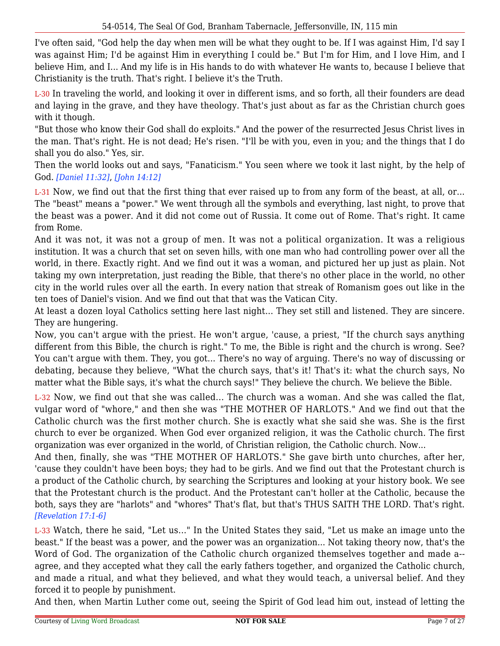I've often said, "God help the day when men will be what they ought to be. If I was against Him, I'd say I was against Him; I'd be against Him in everything I could be." But I'm for Him, and I love Him, and I believe Him, and I... And my life is in His hands to do with whatever He wants to, because I believe that Christianity is the truth. That's right. I believe it's the Truth.

L-30 In traveling the world, and looking it over in different isms, and so forth, all their founders are dead and laying in the grave, and they have theology. That's just about as far as the Christian church goes with it though.

"But those who know their God shall do exploits." And the power of the resurrected Jesus Christ lives in the man. That's right. He is not dead; He's risen. "I'll be with you, even in you; and the things that I do shall you do also." Yes, sir.

Then the world looks out and says, "Fanaticism." You seen where we took it last night, by the help of God. *[Daniel 11:32]*, *[John 14:12]*

L-31 Now, we find out that the first thing that ever raised up to from any form of the beast, at all, or... The "beast" means a "power." We went through all the symbols and everything, last night, to prove that the beast was a power. And it did not come out of Russia. It come out of Rome. That's right. It came from Rome.

And it was not, it was not a group of men. It was not a political organization. It was a religious institution. It was a church that set on seven hills, with one man who had controlling power over all the world, in there. Exactly right. And we find out it was a woman, and pictured her up just as plain. Not taking my own interpretation, just reading the Bible, that there's no other place in the world, no other city in the world rules over all the earth. In every nation that streak of Romanism goes out like in the ten toes of Daniel's vision. And we find out that that was the Vatican City.

At least a dozen loyal Catholics setting here last night... They set still and listened. They are sincere. They are hungering.

Now, you can't argue with the priest. He won't argue, 'cause, a priest, "If the church says anything different from this Bible, the church is right." To me, the Bible is right and the church is wrong. See? You can't argue with them. They, you got... There's no way of arguing. There's no way of discussing or debating, because they believe, "What the church says, that's it! That's it: what the church says, No matter what the Bible says, it's what the church says!" They believe the church. We believe the Bible.

L-32 Now, we find out that she was called... The church was a woman. And she was called the flat, vulgar word of "whore," and then she was "THE MOTHER OF HARLOTS." And we find out that the Catholic church was the first mother church. She is exactly what she said she was. She is the first church to ever be organized. When God ever organized religion, it was the Catholic church. The first organization was ever organized in the world, of Christian religion, the Catholic church. Now...

And then, finally, she was "THE MOTHER OF HARLOTS." She gave birth unto churches, after her, 'cause they couldn't have been boys; they had to be girls. And we find out that the Protestant church is a product of the Catholic church, by searching the Scriptures and looking at your history book. We see that the Protestant church is the product. And the Protestant can't holler at the Catholic, because the both, says they are "harlots" and "whores" That's flat, but that's THUS SAITH THE LORD. That's right. *[Revelation 17:1-6]*

L-33 Watch, there he said, "Let us..." In the United States they said, "Let us make an image unto the beast." If the beast was a power, and the power was an organization... Not taking theory now, that's the Word of God. The organization of the Catholic church organized themselves together and made a- agree, and they accepted what they call the early fathers together, and organized the Catholic church, and made a ritual, and what they believed, and what they would teach, a universal belief. And they forced it to people by punishment.

And then, when Martin Luther come out, seeing the Spirit of God lead him out, instead of letting the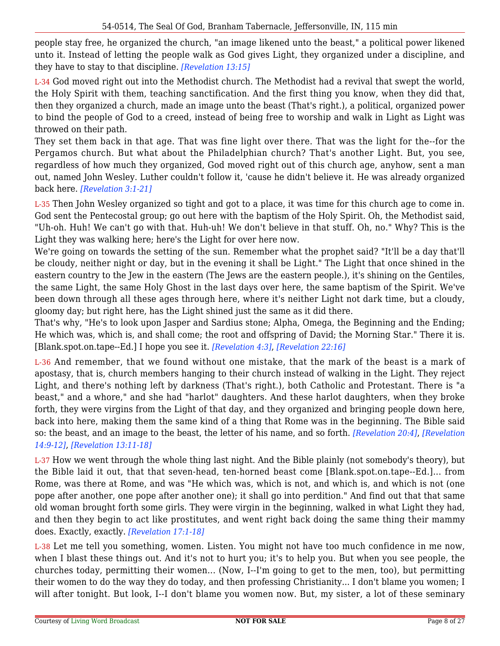people stay free, he organized the church, "an image likened unto the beast," a political power likened unto it. Instead of letting the people walk as God gives Light, they organized under a discipline, and they have to stay to that discipline. *[Revelation 13:15]*

L-34 God moved right out into the Methodist church. The Methodist had a revival that swept the world, the Holy Spirit with them, teaching sanctification. And the first thing you know, when they did that, then they organized a church, made an image unto the beast (That's right.), a political, organized power to bind the people of God to a creed, instead of being free to worship and walk in Light as Light was throwed on their path.

They set them back in that age. That was fine light over there. That was the light for the--for the Pergamos church. But what about the Philadelphian church? That's another Light. But, you see, regardless of how much they organized, God moved right out of this church age, anyhow, sent a man out, named John Wesley. Luther couldn't follow it, 'cause he didn't believe it. He was already organized back here. *[Revelation 3:1-21]*

L-35 Then John Wesley organized so tight and got to a place, it was time for this church age to come in. God sent the Pentecostal group; go out here with the baptism of the Holy Spirit. Oh, the Methodist said, "Uh-oh. Huh! We can't go with that. Huh-uh! We don't believe in that stuff. Oh, no." Why? This is the Light they was walking here; here's the Light for over here now.

We're going on towards the setting of the sun. Remember what the prophet said? "It'll be a day that'll be cloudy, neither night or day, but in the evening it shall be Light." The Light that once shined in the eastern country to the Jew in the eastern (The Jews are the eastern people.), it's shining on the Gentiles, the same Light, the same Holy Ghost in the last days over here, the same baptism of the Spirit. We've been down through all these ages through here, where it's neither Light not dark time, but a cloudy, gloomy day; but right here, has the Light shined just the same as it did there.

That's why, "He's to look upon Jasper and Sardius stone; Alpha, Omega, the Beginning and the Ending; He which was, which is, and shall come; the root and offspring of David; the Morning Star." There it is. [Blank.spot.on.tape--Ed.] I hope you see it. *[Revelation 4:3]*, *[Revelation 22:16]*

L-36 And remember, that we found without one mistake, that the mark of the beast is a mark of apostasy, that is, church members hanging to their church instead of walking in the Light. They reject Light, and there's nothing left by darkness (That's right.), both Catholic and Protestant. There is "a beast," and a whore," and she had "harlot" daughters. And these harlot daughters, when they broke forth, they were virgins from the Light of that day, and they organized and bringing people down here, back into here, making them the same kind of a thing that Rome was in the beginning. The Bible said so: the beast, and an image to the beast, the letter of his name, and so forth. *[Revelation 20:4]*, *[Revelation 14:9-12]*, *[Revelation 13:11-18]*

L-37 How we went through the whole thing last night. And the Bible plainly (not somebody's theory), but the Bible laid it out, that that seven-head, ten-horned beast come [Blank.spot.on.tape--Ed.]... from Rome, was there at Rome, and was "He which was, which is not, and which is, and which is not (one pope after another, one pope after another one); it shall go into perdition." And find out that that same old woman brought forth some girls. They were virgin in the beginning, walked in what Light they had, and then they begin to act like prostitutes, and went right back doing the same thing their mammy does. Exactly, exactly. *[Revelation 17:1-18]*

L-38 Let me tell you something, women. Listen. You might not have too much confidence in me now, when I blast these things out. And it's not to hurt you; it's to help you. But when you see people, the churches today, permitting their women... (Now, I--I'm going to get to the men, too), but permitting their women to do the way they do today, and then professing Christianity... I don't blame you women; I will after tonight. But look, I--I don't blame you women now. But, my sister, a lot of these seminary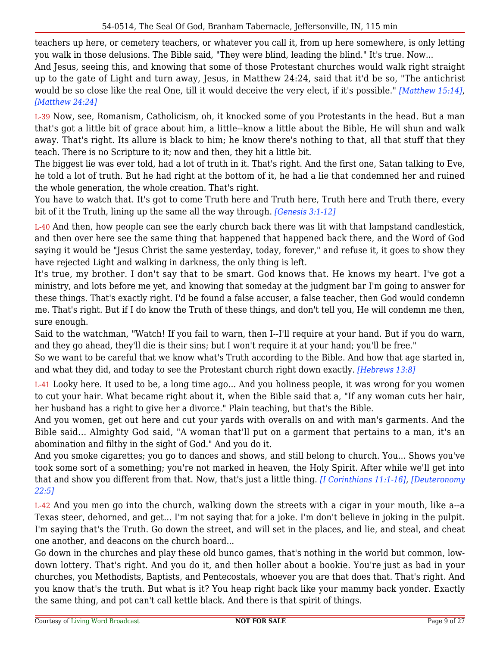teachers up here, or cemetery teachers, or whatever you call it, from up here somewhere, is only letting you walk in those delusions. The Bible said, "They were blind, leading the blind." It's true. Now...

And Jesus, seeing this, and knowing that some of those Protestant churches would walk right straight up to the gate of Light and turn away, Jesus, in Matthew 24:24, said that it'd be so, "The antichrist would be so close like the real One, till it would deceive the very elect, if it's possible." *[Matthew 15:14]*, *[Matthew 24:24]*

L-39 Now, see, Romanism, Catholicism, oh, it knocked some of you Protestants in the head. But a man that's got a little bit of grace about him, a little--know a little about the Bible, He will shun and walk away. That's right. Its allure is black to him; he know there's nothing to that, all that stuff that they teach. There is no Scripture to it; now and then, they hit a little bit.

The biggest lie was ever told, had a lot of truth in it. That's right. And the first one, Satan talking to Eve, he told a lot of truth. But he had right at the bottom of it, he had a lie that condemned her and ruined the whole generation, the whole creation. That's right.

You have to watch that. It's got to come Truth here and Truth here, Truth here and Truth there, every bit of it the Truth, lining up the same all the way through. *[Genesis 3:1-12]*

L-40 And then, how people can see the early church back there was lit with that lampstand candlestick, and then over here see the same thing that happened that happened back there, and the Word of God saying it would be "Jesus Christ the same yesterday, today, forever," and refuse it, it goes to show they have rejected Light and walking in darkness, the only thing is left.

It's true, my brother. I don't say that to be smart. God knows that. He knows my heart. I've got a ministry, and lots before me yet, and knowing that someday at the judgment bar I'm going to answer for these things. That's exactly right. I'd be found a false accuser, a false teacher, then God would condemn me. That's right. But if I do know the Truth of these things, and don't tell you, He will condemn me then, sure enough.

Said to the watchman, "Watch! If you fail to warn, then I--I'll require at your hand. But if you do warn, and they go ahead, they'll die is their sins; but I won't require it at your hand; you'll be free."

So we want to be careful that we know what's Truth according to the Bible. And how that age started in, and what they did, and today to see the Protestant church right down exactly. *[Hebrews 13:8]*

L-41 Looky here. It used to be, a long time ago... And you holiness people, it was wrong for you women to cut your hair. What became right about it, when the Bible said that a, "If any woman cuts her hair, her husband has a right to give her a divorce." Plain teaching, but that's the Bible.

And you women, get out here and cut your yards with overalls on and with man's garments. And the Bible said... Almighty God said, "A woman that'll put on a garment that pertains to a man, it's an abomination and filthy in the sight of God." And you do it.

And you smoke cigarettes; you go to dances and shows, and still belong to church. You... Shows you've took some sort of a something; you're not marked in heaven, the Holy Spirit. After while we'll get into that and show you different from that. Now, that's just a little thing. *[I Corinthians 11:1-16]*, *[Deuteronomy 22:5]*

L-42 And you men go into the church, walking down the streets with a cigar in your mouth, like a--a Texas steer, dehorned, and get... I'm not saying that for a joke. I'm don't believe in joking in the pulpit. I'm saying that's the Truth. Go down the street, and will set in the places, and lie, and steal, and cheat one another, and deacons on the church board...

Go down in the churches and play these old bunco games, that's nothing in the world but common, lowdown lottery. That's right. And you do it, and then holler about a bookie. You're just as bad in your churches, you Methodists, Baptists, and Pentecostals, whoever you are that does that. That's right. And you know that's the truth. But what is it? You heap right back like your mammy back yonder. Exactly the same thing, and pot can't call kettle black. And there is that spirit of things.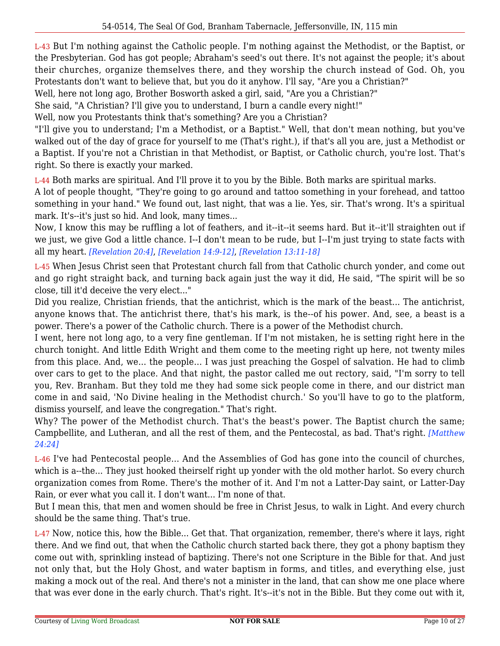L-43 But I'm nothing against the Catholic people. I'm nothing against the Methodist, or the Baptist, or the Presbyterian. God has got people; Abraham's seed's out there. It's not against the people; it's about their churches, organize themselves there, and they worship the church instead of God. Oh, you Protestants don't want to believe that, but you do it anyhow. I'll say, "Are you a Christian?"

Well, here not long ago, Brother Bosworth asked a girl, said, "Are you a Christian?"

She said, "A Christian? I'll give you to understand, I burn a candle every night!"

Well, now you Protestants think that's something? Are you a Christian?

"I'll give you to understand; I'm a Methodist, or a Baptist." Well, that don't mean nothing, but you've walked out of the day of grace for yourself to me (That's right.), if that's all you are, just a Methodist or a Baptist. If you're not a Christian in that Methodist, or Baptist, or Catholic church, you're lost. That's right. So there is exactly your marked.

L-44 Both marks are spiritual. And I'll prove it to you by the Bible. Both marks are spiritual marks.

A lot of people thought, "They're going to go around and tattoo something in your forehead, and tattoo something in your hand." We found out, last night, that was a lie. Yes, sir. That's wrong. It's a spiritual mark. It's--it's just so hid. And look, many times...

Now, I know this may be ruffling a lot of feathers, and it--it--it seems hard. But it--it'll straighten out if we just, we give God a little chance. I--I don't mean to be rude, but I--I'm just trying to state facts with all my heart. *[Revelation 20:4]*, *[Revelation 14:9-12]*, *[Revelation 13:11-18]*

L-45 When Jesus Christ seen that Protestant church fall from that Catholic church yonder, and come out and go right straight back, and turning back again just the way it did, He said, "The spirit will be so close, till it'd deceive the very elect..."

Did you realize, Christian friends, that the antichrist, which is the mark of the beast... The antichrist, anyone knows that. The antichrist there, that's his mark, is the--of his power. And, see, a beast is a power. There's a power of the Catholic church. There is a power of the Methodist church.

I went, here not long ago, to a very fine gentleman. If I'm not mistaken, he is setting right here in the church tonight. And little Edith Wright and them come to the meeting right up here, not twenty miles from this place. And, we... the people... I was just preaching the Gospel of salvation. He had to climb over cars to get to the place. And that night, the pastor called me out rectory, said, "I'm sorry to tell you, Rev. Branham. But they told me they had some sick people come in there, and our district man come in and said, 'No Divine healing in the Methodist church.' So you'll have to go to the platform, dismiss yourself, and leave the congregation." That's right.

Why? The power of the Methodist church. That's the beast's power. The Baptist church the same; Campbellite, and Lutheran, and all the rest of them, and the Pentecostal, as bad. That's right. *[Matthew 24:24]*

L-46 I've had Pentecostal people... And the Assemblies of God has gone into the council of churches, which is a--the... They just hooked theirself right up yonder with the old mother harlot. So every church organization comes from Rome. There's the mother of it. And I'm not a Latter-Day saint, or Latter-Day Rain, or ever what you call it. I don't want... I'm none of that.

But I mean this, that men and women should be free in Christ Jesus, to walk in Light. And every church should be the same thing. That's true.

L-47 Now, notice this, how the Bible... Get that. That organization, remember, there's where it lays, right there. And we find out, that when the Catholic church started back there, they got a phony baptism they come out with, sprinkling instead of baptizing. There's not one Scripture in the Bible for that. And just not only that, but the Holy Ghost, and water baptism in forms, and titles, and everything else, just making a mock out of the real. And there's not a minister in the land, that can show me one place where that was ever done in the early church. That's right. It's--it's not in the Bible. But they come out with it,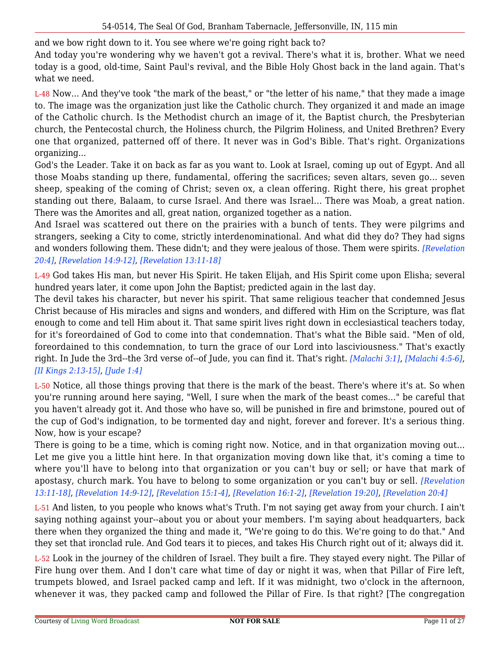and we bow right down to it. You see where we're going right back to?

And today you're wondering why we haven't got a revival. There's what it is, brother. What we need today is a good, old-time, Saint Paul's revival, and the Bible Holy Ghost back in the land again. That's what we need.

L-48 Now... And they've took "the mark of the beast," or "the letter of his name," that they made a image to. The image was the organization just like the Catholic church. They organized it and made an image of the Catholic church. Is the Methodist church an image of it, the Baptist church, the Presbyterian church, the Pentecostal church, the Holiness church, the Pilgrim Holiness, and United Brethren? Every one that organized, patterned off of there. It never was in God's Bible. That's right. Organizations organizing...

God's the Leader. Take it on back as far as you want to. Look at Israel, coming up out of Egypt. And all those Moabs standing up there, fundamental, offering the sacrifices; seven altars, seven go... seven sheep, speaking of the coming of Christ; seven ox, a clean offering. Right there, his great prophet standing out there, Balaam, to curse Israel. And there was Israel... There was Moab, a great nation. There was the Amorites and all, great nation, organized together as a nation.

And Israel was scattered out there on the prairies with a bunch of tents. They were pilgrims and strangers, seeking a City to come, strictly interdenominational. And what did they do? They had signs and wonders following them. These didn't; and they were jealous of those. Them were spirits. *[Revelation 20:4]*, *[Revelation 14:9-12]*, *[Revelation 13:11-18]*

L-49 God takes His man, but never His Spirit. He taken Elijah, and His Spirit come upon Elisha; several hundred years later, it come upon John the Baptist; predicted again in the last day.

The devil takes his character, but never his spirit. That same religious teacher that condemned Jesus Christ because of His miracles and signs and wonders, and differed with Him on the Scripture, was flat enough to come and tell Him about it. That same spirit lives right down in ecclesiastical teachers today, for it's foreordained of God to come into that condemnation. That's what the Bible said. "Men of old, foreordained to this condemnation, to turn the grace of our Lord into lasciviousness." That's exactly right. In Jude the 3rd--the 3rd verse of--of Jude, you can find it. That's right. *[Malachi 3:1]*, *[Malachi 4:5-6]*, *[II Kings 2:13-15]*, *[Jude 1:4]*

L-50 Notice, all those things proving that there is the mark of the beast. There's where it's at. So when you're running around here saying, "Well, I sure when the mark of the beast comes..." be careful that you haven't already got it. And those who have so, will be punished in fire and brimstone, poured out of the cup of God's indignation, to be tormented day and night, forever and forever. It's a serious thing. Now, how is your escape?

There is going to be a time, which is coming right now. Notice, and in that organization moving out... Let me give you a little hint here. In that organization moving down like that, it's coming a time to where you'll have to belong into that organization or you can't buy or sell; or have that mark of apostasy, church mark. You have to belong to some organization or you can't buy or sell. *[Revelation 13:11-18]*, *[Revelation 14:9-12]*, *[Revelation 15:1-4]*, *[Revelation 16:1-2]*, *[Revelation 19:20]*, *[Revelation 20:4]*

L-51 And listen, to you people who knows what's Truth. I'm not saying get away from your church. I ain't saying nothing against your--about you or about your members. I'm saying about headquarters, back there when they organized the thing and made it, "We're going to do this. We're going to do that." And they set that ironclad rule. And God tears it to pieces, and takes His Church right out of it; always did it.

L-52 Look in the journey of the children of Israel. They built a fire. They stayed every night. The Pillar of Fire hung over them. And I don't care what time of day or night it was, when that Pillar of Fire left, trumpets blowed, and Israel packed camp and left. If it was midnight, two o'clock in the afternoon, whenever it was, they packed camp and followed the Pillar of Fire. Is that right? [The congregation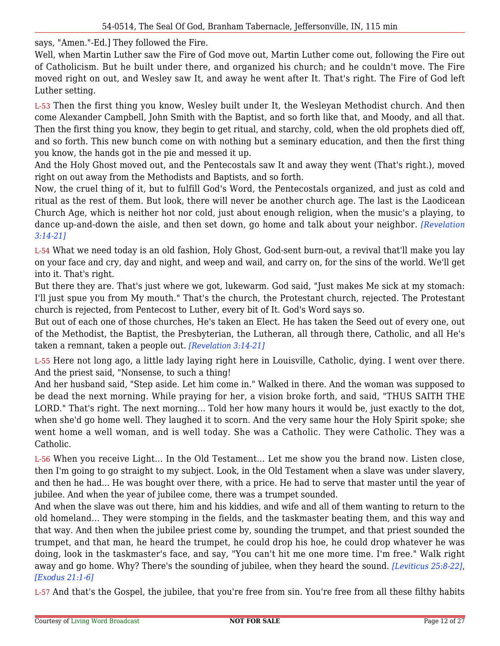says, "Amen."-Ed.] They followed the Fire.

Well, when Martin Luther saw the Fire of God move out, Martin Luther come out, following the Fire out of Catholicism. But he built under there, and organized his church; and he couldn't move. The Fire moved right on out, and Wesley saw It, and away he went after It. That's right. The Fire of God left Luther setting.

L-53 Then the first thing you know, Wesley built under It, the Wesleyan Methodist church. And then come Alexander Campbell, John Smith with the Baptist, and so forth like that, and Moody, and all that. Then the first thing you know, they begin to get ritual, and starchy, cold, when the old prophets died off, and so forth. This new bunch come on with nothing but a seminary education, and then the first thing you know, the hands got in the pie and messed it up.

And the Holy Ghost moved out, and the Pentecostals saw It and away they went (That's right.), moved right on out away from the Methodists and Baptists, and so forth.

Now, the cruel thing of it, but to fulfill God's Word, the Pentecostals organized, and just as cold and ritual as the rest of them. But look, there will never be another church age. The last is the Laodicean Church Age, which is neither hot nor cold, just about enough religion, when the music's a playing, to dance up-and-down the aisle, and then set down, go home and talk about your neighbor. *[Revelation 3:14-21]*

L-54 What we need today is an old fashion, Holy Ghost, God-sent burn-out, a revival that'll make you lay on your face and cry, day and night, and weep and wail, and carry on, for the sins of the world. We'll get into it. That's right.

But there they are. That's just where we got, lukewarm. God said, "Just makes Me sick at my stomach: I'll just spue you from My mouth." That's the church, the Protestant church, rejected. The Protestant church is rejected, from Pentecost to Luther, every bit of It. God's Word says so.

But out of each one of those churches, He's taken an Elect. He has taken the Seed out of every one, out of the Methodist, the Baptist, the Presbyterian, the Lutheran, all through there, Catholic, and all He's taken a remnant, taken a people out. *[Revelation 3:14-21]*

L-55 Here not long ago, a little lady laying right here in Louisville, Catholic, dying. I went over there. And the priest said, "Nonsense, to such a thing!

And her husband said, "Step aside. Let him come in." Walked in there. And the woman was supposed to be dead the next morning. While praying for her, a vision broke forth, and said, "THUS SAITH THE LORD." That's right. The next morning... Told her how many hours it would be, just exactly to the dot, when she'd go home well. They laughed it to scorn. And the very same hour the Holy Spirit spoke; she went home a well woman, and is well today. She was a Catholic. They were Catholic. They was a Catholic.

L-56 When you receive Light... In the Old Testament... Let me show you the brand now. Listen close, then I'm going to go straight to my subject. Look, in the Old Testament when a slave was under slavery, and then he had... He was bought over there, with a price. He had to serve that master until the year of jubilee. And when the year of jubilee come, there was a trumpet sounded.

And when the slave was out there, him and his kiddies, and wife and all of them wanting to return to the old homeland... They were stomping in the fields, and the taskmaster beating them, and this way and that way. And then when the jubilee priest come by, sounding the trumpet, and that priest sounded the trumpet, and that man, he heard the trumpet, he could drop his hoe, he could drop whatever he was doing, look in the taskmaster's face, and say, "You can't hit me one more time. I'm free." Walk right away and go home. Why? There's the sounding of jubilee, when they heard the sound. *[Leviticus 25:8-22]*, *[Exodus 21:1-6]*

L-57 And that's the Gospel, the jubilee, that you're free from sin. You're free from all these filthy habits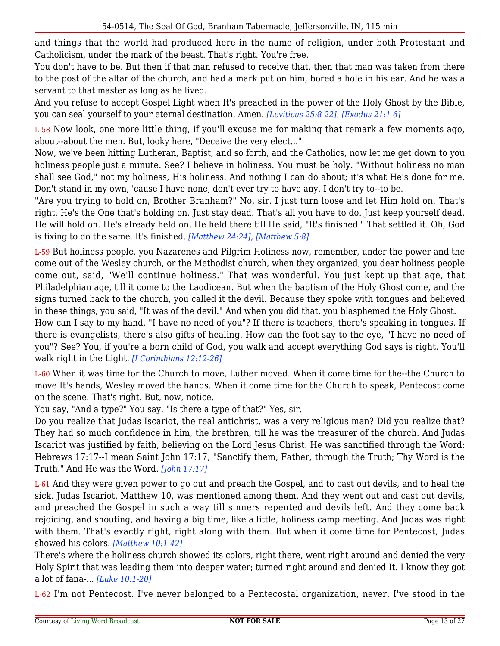and things that the world had produced here in the name of religion, under both Protestant and Catholicism, under the mark of the beast. That's right. You're free.

You don't have to be. But then if that man refused to receive that, then that man was taken from there to the post of the altar of the church, and had a mark put on him, bored a hole in his ear. And he was a servant to that master as long as he lived.

And you refuse to accept Gospel Light when It's preached in the power of the Holy Ghost by the Bible, you can seal yourself to your eternal destination. Amen. *[Leviticus 25:8-22]*, *[Exodus 21:1-6]*

L-58 Now look, one more little thing, if you'll excuse me for making that remark a few moments ago, about--about the men. But, looky here, "Deceive the very elect..."

Now, we've been hitting Lutheran, Baptist, and so forth, and the Catholics, now let me get down to you holiness people just a minute. See? I believe in holiness. You must be holy. "Without holiness no man shall see God," not my holiness, His holiness. And nothing I can do about; it's what He's done for me. Don't stand in my own, 'cause I have none, don't ever try to have any. I don't try to--to be.

"Are you trying to hold on, Brother Branham?" No, sir. I just turn loose and let Him hold on. That's right. He's the One that's holding on. Just stay dead. That's all you have to do. Just keep yourself dead. He will hold on. He's already held on. He held there till He said, "It's finished." That settled it. Oh, God is fixing to do the same. It's finished. *[Matthew 24:24]*, *[Matthew 5:8]*

L-59 But holiness people, you Nazarenes and Pilgrim Holiness now, remember, under the power and the come out of the Wesley church, or the Methodist church, when they organized, you dear holiness people come out, said, "We'll continue holiness." That was wonderful. You just kept up that age, that Philadelphian age, till it come to the Laodicean. But when the baptism of the Holy Ghost come, and the signs turned back to the church, you called it the devil. Because they spoke with tongues and believed in these things, you said, "It was of the devil." And when you did that, you blasphemed the Holy Ghost.

How can I say to my hand, "I have no need of you"? If there is teachers, there's speaking in tongues. If there is evangelists, there's also gifts of healing. How can the foot say to the eye, "I have no need of you"? See? You, if you're a born child of God, you walk and accept everything God says is right. You'll walk right in the Light. *[I Corinthians 12:12-26]*

L-60 When it was time for the Church to move, Luther moved. When it come time for the--the Church to move It's hands, Wesley moved the hands. When it come time for the Church to speak, Pentecost come on the scene. That's right. But, now, notice.

You say, "And a type?" You say, "Is there a type of that?" Yes, sir.

Do you realize that Judas Iscariot, the real antichrist, was a very religious man? Did you realize that? They had so much confidence in him, the brethren, till he was the treasurer of the church. And Judas Iscariot was justified by faith, believing on the Lord Jesus Christ. He was sanctified through the Word: Hebrews 17:17--I mean Saint John 17:17, "Sanctify them, Father, through the Truth; Thy Word is the Truth." And He was the Word. *[John 17:17]*

L-61 And they were given power to go out and preach the Gospel, and to cast out devils, and to heal the sick. Judas Iscariot, Matthew 10, was mentioned among them. And they went out and cast out devils, and preached the Gospel in such a way till sinners repented and devils left. And they come back rejoicing, and shouting, and having a big time, like a little, holiness camp meeting. And Judas was right with them. That's exactly right, right along with them. But when it come time for Pentecost, Judas showed his colors. *[Matthew 10:1-42]*

There's where the holiness church showed its colors, right there, went right around and denied the very Holy Spirit that was leading them into deeper water; turned right around and denied It. I know they got a lot of fana-... *[Luke 10:1-20]*

L-62 I'm not Pentecost. I've never belonged to a Pentecostal organization, never. I've stood in the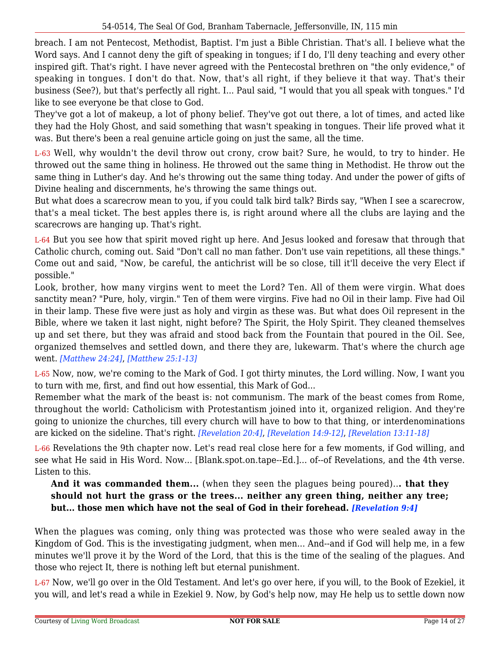breach. I am not Pentecost, Methodist, Baptist. I'm just a Bible Christian. That's all. I believe what the Word says. And I cannot deny the gift of speaking in tongues; if I do, I'll deny teaching and every other inspired gift. That's right. I have never agreed with the Pentecostal brethren on "the only evidence," of speaking in tongues. I don't do that. Now, that's all right, if they believe it that way. That's their business (See?), but that's perfectly all right. I... Paul said, "I would that you all speak with tongues." I'd like to see everyone be that close to God.

They've got a lot of makeup, a lot of phony belief. They've got out there, a lot of times, and acted like they had the Holy Ghost, and said something that wasn't speaking in tongues. Their life proved what it was. But there's been a real genuine article going on just the same, all the time.

L-63 Well, why wouldn't the devil throw out crony, crow bait? Sure, he would, to try to hinder. He throwed out the same thing in holiness. He throwed out the same thing in Methodist. He throw out the same thing in Luther's day. And he's throwing out the same thing today. And under the power of gifts of Divine healing and discernments, he's throwing the same things out.

But what does a scarecrow mean to you, if you could talk bird talk? Birds say, "When I see a scarecrow, that's a meal ticket. The best apples there is, is right around where all the clubs are laying and the scarecrows are hanging up. That's right.

L-64 But you see how that spirit moved right up here. And Jesus looked and foresaw that through that Catholic church, coming out. Said "Don't call no man father. Don't use vain repetitions, all these things." Come out and said, "Now, be careful, the antichrist will be so close, till it'll deceive the very Elect if possible."

Look, brother, how many virgins went to meet the Lord? Ten. All of them were virgin. What does sanctity mean? "Pure, holy, virgin." Ten of them were virgins. Five had no Oil in their lamp. Five had Oil in their lamp. These five were just as holy and virgin as these was. But what does Oil represent in the Bible, where we taken it last night, night before? The Spirit, the Holy Spirit. They cleaned themselves up and set there, but they was afraid and stood back from the Fountain that poured in the Oil. See, organized themselves and settled down, and there they are, lukewarm. That's where the church age went. *[Matthew 24:24]*, *[Matthew 25:1-13]*

L-65 Now, now, we're coming to the Mark of God. I got thirty minutes, the Lord willing. Now, I want you to turn with me, first, and find out how essential, this Mark of God...

Remember what the mark of the beast is: not communism. The mark of the beast comes from Rome, throughout the world: Catholicism with Protestantism joined into it, organized religion. And they're going to unionize the churches, till every church will have to bow to that thing, or interdenominations are kicked on the sideline. That's right. *[Revelation 20:4]*, *[Revelation 14:9-12]*, *[Revelation 13:11-18]*

L-66 Revelations the 9th chapter now. Let's read real close here for a few moments, if God willing, and see what He said in His Word. Now... [Blank.spot.on.tape--Ed.]... of--of Revelations, and the 4th verse. Listen to this.

**And it was commanded them...** (when they seen the plagues being poured)..**. that they should not hurt the grass or the trees... neither any green thing, neither any tree; but... those men which have not the seal of God in their forehead.** *[Revelation 9:4]*

When the plagues was coming, only thing was protected was those who were sealed away in the Kingdom of God. This is the investigating judgment, when men... And--and if God will help me, in a few minutes we'll prove it by the Word of the Lord, that this is the time of the sealing of the plagues. And those who reject It, there is nothing left but eternal punishment.

L-67 Now, we'll go over in the Old Testament. And let's go over here, if you will, to the Book of Ezekiel, it you will, and let's read a while in Ezekiel 9. Now, by God's help now, may He help us to settle down now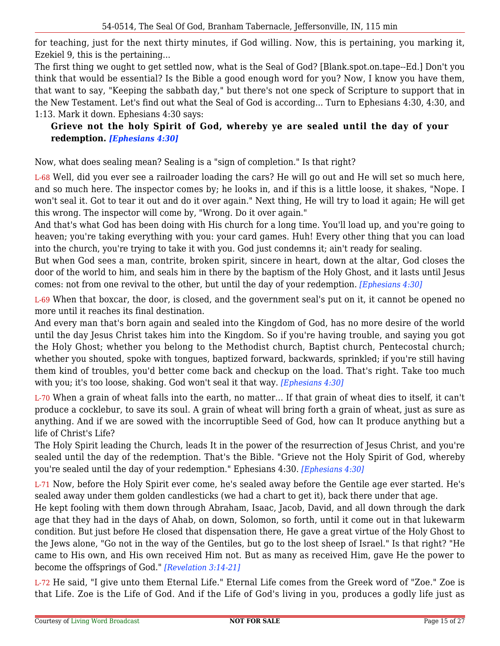for teaching, just for the next thirty minutes, if God willing. Now, this is pertaining, you marking it, Ezekiel 9, this is the pertaining...

The first thing we ought to get settled now, what is the Seal of God? [Blank.spot.on.tape--Ed.] Don't you think that would be essential? Is the Bible a good enough word for you? Now, I know you have them, that want to say, "Keeping the sabbath day," but there's not one speck of Scripture to support that in the New Testament. Let's find out what the Seal of God is according... Turn to Ephesians 4:30, 4:30, and 1:13. Mark it down. Ephesians 4:30 says:

# **Grieve not the holy Spirit of God, whereby ye are sealed until the day of your redemption.** *[Ephesians 4:30]*

Now, what does sealing mean? Sealing is a "sign of completion." Is that right?

L-68 Well, did you ever see a railroader loading the cars? He will go out and He will set so much here, and so much here. The inspector comes by; he looks in, and if this is a little loose, it shakes, "Nope. I won't seal it. Got to tear it out and do it over again." Next thing, He will try to load it again; He will get this wrong. The inspector will come by, "Wrong. Do it over again."

And that's what God has been doing with His church for a long time. You'll load up, and you're going to heaven; you're taking everything with you: your card games. Huh! Every other thing that you can load into the church, you're trying to take it with you. God just condemns it; ain't ready for sealing.

But when God sees a man, contrite, broken spirit, sincere in heart, down at the altar, God closes the door of the world to him, and seals him in there by the baptism of the Holy Ghost, and it lasts until Jesus comes: not from one revival to the other, but until the day of your redemption. *[Ephesians 4:30]*

L-69 When that boxcar, the door, is closed, and the government seal's put on it, it cannot be opened no more until it reaches its final destination.

And every man that's born again and sealed into the Kingdom of God, has no more desire of the world until the day Jesus Christ takes him into the Kingdom. So if you're having trouble, and saying you got the Holy Ghost; whether you belong to the Methodist church, Baptist church, Pentecostal church; whether you shouted, spoke with tongues, baptized forward, backwards, sprinkled; if you're still having them kind of troubles, you'd better come back and checkup on the load. That's right. Take too much with you; it's too loose, shaking. God won't seal it that way. *[Ephesians 4:30]*

L-70 When a grain of wheat falls into the earth, no matter... If that grain of wheat dies to itself, it can't produce a cocklebur, to save its soul. A grain of wheat will bring forth a grain of wheat, just as sure as anything. And if we are sowed with the incorruptible Seed of God, how can It produce anything but a life of Christ's Life?

The Holy Spirit leading the Church, leads It in the power of the resurrection of Jesus Christ, and you're sealed until the day of the redemption. That's the Bible. "Grieve not the Holy Spirit of God, whereby you're sealed until the day of your redemption." Ephesians 4:30. *[Ephesians 4:30]*

L-71 Now, before the Holy Spirit ever come, he's sealed away before the Gentile age ever started. He's sealed away under them golden candlesticks (we had a chart to get it), back there under that age.

He kept fooling with them down through Abraham, Isaac, Jacob, David, and all down through the dark age that they had in the days of Ahab, on down, Solomon, so forth, until it come out in that lukewarm condition. But just before He closed that dispensation there, He gave a great virtue of the Holy Ghost to the Jews alone, "Go not in the way of the Gentiles, but go to the lost sheep of Israel." Is that right? "He came to His own, and His own received Him not. But as many as received Him, gave He the power to become the offsprings of God." *[Revelation 3:14-21]*

L-72 He said, "I give unto them Eternal Life." Eternal Life comes from the Greek word of "Zoe." Zoe is that Life. Zoe is the Life of God. And if the Life of God's living in you, produces a godly life just as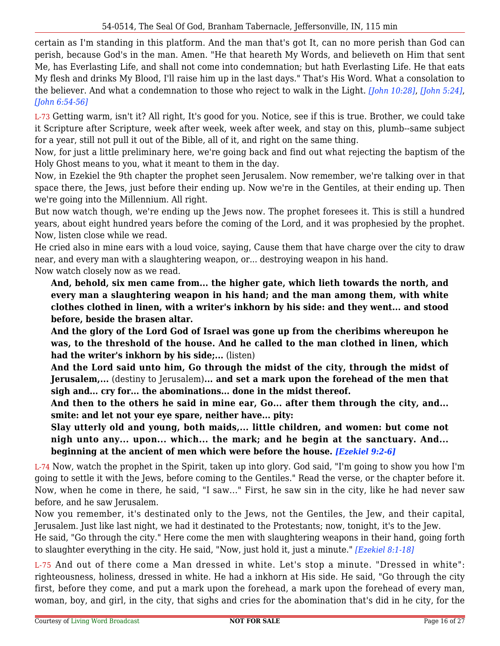certain as I'm standing in this platform. And the man that's got It, can no more perish than God can perish, because God's in the man. Amen. "He that heareth My Words, and believeth on Him that sent Me, has Everlasting Life, and shall not come into condemnation; but hath Everlasting Life. He that eats My flesh and drinks My Blood, I'll raise him up in the last days." That's His Word. What a consolation to the believer. And what a condemnation to those who reject to walk in the Light. *[John 10:28]*, *[John 5:24]*, *[John 6:54-56]*

L-73 Getting warm, isn't it? All right, It's good for you. Notice, see if this is true. Brother, we could take it Scripture after Scripture, week after week, week after week, and stay on this, plumb--same subject for a year, still not pull it out of the Bible, all of it, and right on the same thing.

Now, for just a little preliminary here, we're going back and find out what rejecting the baptism of the Holy Ghost means to you, what it meant to them in the day.

Now, in Ezekiel the 9th chapter the prophet seen Jerusalem. Now remember, we're talking over in that space there, the Jews, just before their ending up. Now we're in the Gentiles, at their ending up. Then we're going into the Millennium. All right.

But now watch though, we're ending up the Jews now. The prophet foresees it. This is still a hundred years, about eight hundred years before the coming of the Lord, and it was prophesied by the prophet. Now, listen close while we read.

He cried also in mine ears with a loud voice, saying, Cause them that have charge over the city to draw near, and every man with a slaughtering weapon, or... destroying weapon in his hand.

Now watch closely now as we read.

**And, behold, six men came from... the higher gate, which lieth towards the north, and every man a slaughtering weapon in his hand; and the man among them, with white clothes clothed in linen, with a writer's inkhorn by his side: and they went... and stood before, beside the brasen altar.**

**And the glory of the Lord God of Israel was gone up from the cheribims whereupon he was, to the threshold of the house. And he called to the man clothed in linen, which had the writer's inkhorn by his side;...** (listen)

**And the Lord said unto him, Go through the midst of the city, through the midst of Jerusalem,...** (destiny to Jerusalem)**... and set a mark upon the forehead of the men that sigh and... cry for... the abominations... done in the midst thereof.**

**And then to the others he said in mine ear, Go... after them through the city, and... smite: and let not your eye spare, neither have... pity:**

**Slay utterly old and young, both maids,... little children, and women: but come not nigh unto any... upon... which... the mark; and he begin at the sanctuary. And... beginning at the ancient of men which were before the house.** *[Ezekiel 9:2-6]*

L-74 Now, watch the prophet in the Spirit, taken up into glory. God said, "I'm going to show you how I'm going to settle it with the Jews, before coming to the Gentiles." Read the verse, or the chapter before it. Now, when he come in there, he said, "I saw..." First, he saw sin in the city, like he had never saw before, and he saw Jerusalem.

Now you remember, it's destinated only to the Jews, not the Gentiles, the Jew, and their capital, Jerusalem. Just like last night, we had it destinated to the Protestants; now, tonight, it's to the Jew.

He said, "Go through the city." Here come the men with slaughtering weapons in their hand, going forth to slaughter everything in the city. He said, "Now, just hold it, just a minute." *[Ezekiel 8:1-18]*

L-75 And out of there come a Man dressed in white. Let's stop a minute. "Dressed in white": righteousness, holiness, dressed in white. He had a inkhorn at His side. He said, "Go through the city first, before they come, and put a mark upon the forehead, a mark upon the forehead of every man, woman, boy, and girl, in the city, that sighs and cries for the abomination that's did in he city, for the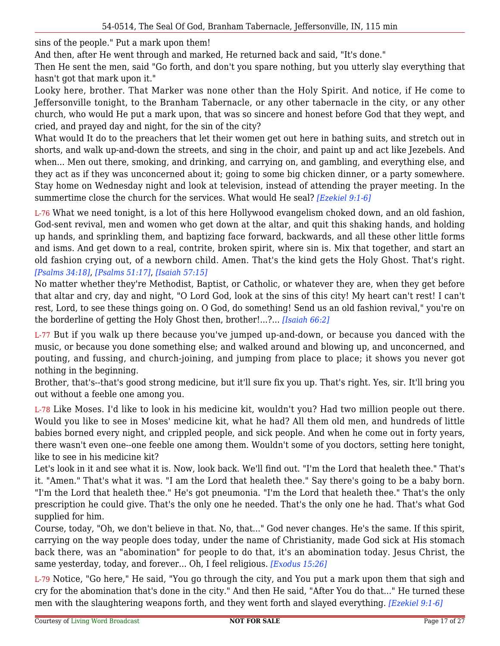sins of the people." Put a mark upon them!

And then, after He went through and marked, He returned back and said, "It's done."

Then He sent the men, said "Go forth, and don't you spare nothing, but you utterly slay everything that hasn't got that mark upon it."

Looky here, brother. That Marker was none other than the Holy Spirit. And notice, if He come to Jeffersonville tonight, to the Branham Tabernacle, or any other tabernacle in the city, or any other church, who would He put a mark upon, that was so sincere and honest before God that they wept, and cried, and prayed day and night, for the sin of the city?

What would It do to the preachers that let their women get out here in bathing suits, and stretch out in shorts, and walk up-and-down the streets, and sing in the choir, and paint up and act like Jezebels. And when... Men out there, smoking, and drinking, and carrying on, and gambling, and everything else, and they act as if they was unconcerned about it; going to some big chicken dinner, or a party somewhere. Stay home on Wednesday night and look at television, instead of attending the prayer meeting. In the summertime close the church for the services. What would He seal? *[Ezekiel 9:1-6]*

L-76 What we need tonight, is a lot of this here Hollywood evangelism choked down, and an old fashion, God-sent revival, men and women who get down at the altar, and quit this shaking hands, and holding up hands, and sprinkling them, and baptizing face forward, backwards, and all these other little forms and isms. And get down to a real, contrite, broken spirit, where sin is. Mix that together, and start an old fashion crying out, of a newborn child. Amen. That's the kind gets the Holy Ghost. That's right. *[Psalms 34:18]*, *[Psalms 51:17]*, *[Isaiah 57:15]*

No matter whether they're Methodist, Baptist, or Catholic, or whatever they are, when they get before that altar and cry, day and night, "O Lord God, look at the sins of this city! My heart can't rest! I can't rest, Lord, to see these things going on. O God, do something! Send us an old fashion revival," you're on the borderline of getting the Holy Ghost then, brother!...?... *[Isaiah 66:2]*

L-77 But if you walk up there because you've jumped up-and-down, or because you danced with the music, or because you done something else; and walked around and blowing up, and unconcerned, and pouting, and fussing, and church-joining, and jumping from place to place; it shows you never got nothing in the beginning.

Brother, that's--that's good strong medicine, but it'll sure fix you up. That's right. Yes, sir. It'll bring you out without a feeble one among you.

L-78 Like Moses. I'd like to look in his medicine kit, wouldn't you? Had two million people out there. Would you like to see in Moses' medicine kit, what he had? All them old men, and hundreds of little babies borned every night, and crippled people, and sick people. And when he come out in forty years, there wasn't even one--one feeble one among them. Wouldn't some of you doctors, setting here tonight, like to see in his medicine kit?

Let's look in it and see what it is. Now, look back. We'll find out. "I'm the Lord that healeth thee." That's it. "Amen." That's what it was. "I am the Lord that healeth thee." Say there's going to be a baby born. "I'm the Lord that healeth thee." He's got pneumonia. "I'm the Lord that healeth thee." That's the only prescription he could give. That's the only one he needed. That's the only one he had. That's what God supplied for him.

Course, today, "Oh, we don't believe in that. No, that..." God never changes. He's the same. If this spirit, carrying on the way people does today, under the name of Christianity, made God sick at His stomach back there, was an "abomination" for people to do that, it's an abomination today. Jesus Christ, the same yesterday, today, and forever... Oh, I feel religious. *[Exodus 15:26]*

L-79 Notice, "Go here," He said, "You go through the city, and You put a mark upon them that sigh and cry for the abomination that's done in the city." And then He said, "After You do that..." He turned these men with the slaughtering weapons forth, and they went forth and slayed everything. *[Ezekiel 9:1-6]*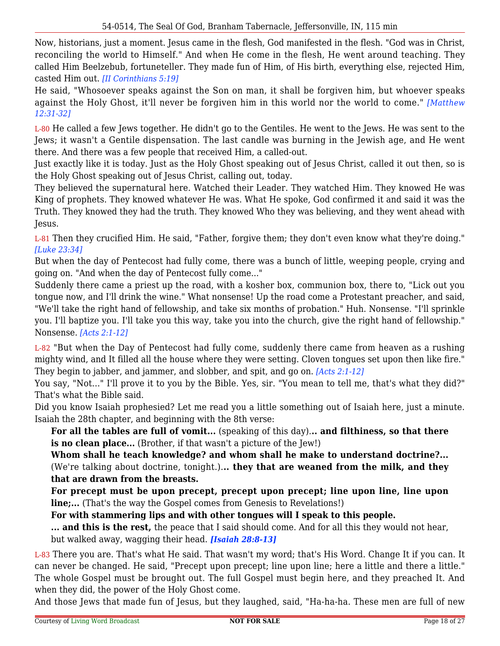Now, historians, just a moment. Jesus came in the flesh, God manifested in the flesh. "God was in Christ, reconciling the world to Himself." And when He come in the flesh, He went around teaching. They called Him Beelzebub, fortuneteller. They made fun of Him, of His birth, everything else, rejected Him, casted Him out. *[II Corinthians 5:19]*

He said, "Whosoever speaks against the Son on man, it shall be forgiven him, but whoever speaks against the Holy Ghost, it'll never be forgiven him in this world nor the world to come." *[Matthew 12:31-32]*

L-80 He called a few Jews together. He didn't go to the Gentiles. He went to the Jews. He was sent to the Jews; it wasn't a Gentile dispensation. The last candle was burning in the Jewish age, and He went there. And there was a few people that received Him, a called-out.

Just exactly like it is today. Just as the Holy Ghost speaking out of Jesus Christ, called it out then, so is the Holy Ghost speaking out of Jesus Christ, calling out, today.

They believed the supernatural here. Watched their Leader. They watched Him. They knowed He was King of prophets. They knowed whatever He was. What He spoke, God confirmed it and said it was the Truth. They knowed they had the truth. They knowed Who they was believing, and they went ahead with Jesus.

L-81 Then they crucified Him. He said, "Father, forgive them; they don't even know what they're doing." *[Luke 23:34]*

But when the day of Pentecost had fully come, there was a bunch of little, weeping people, crying and going on. "And when the day of Pentecost fully come..."

Suddenly there came a priest up the road, with a kosher box, communion box, there to, "Lick out you tongue now, and I'll drink the wine." What nonsense! Up the road come a Protestant preacher, and said, "We'll take the right hand of fellowship, and take six months of probation." Huh. Nonsense. "I'll sprinkle you. I'll baptize you. I'll take you this way, take you into the church, give the right hand of fellowship." Nonsense. *[Acts 2:1-12]*

L-82 "But when the Day of Pentecost had fully come, suddenly there came from heaven as a rushing mighty wind, and It filled all the house where they were setting. Cloven tongues set upon then like fire." They begin to jabber, and jammer, and slobber, and spit, and go on. *[Acts 2:1-12]*

You say, "Not..." I'll prove it to you by the Bible. Yes, sir. "You mean to tell me, that's what they did?" That's what the Bible said.

Did you know Isaiah prophesied? Let me read you a little something out of Isaiah here, just a minute. Isaiah the 28th chapter, and beginning with the 8th verse:

**For all the tables are full of vomit...** (speaking of this day).**.. and filthiness, so that there is no clean place...** (Brother, if that wasn't a picture of the Jew!)

**Whom shall he teach knowledge? and whom shall he make to understand doctrine?...** (We're talking about doctrine, tonight.).**.. they that are weaned from the milk, and they that are drawn from the breasts.**

**For precept must be upon precept, precept upon precept; line upon line, line upon line;...** (That's the way the Gospel comes from Genesis to Revelations!)

**For with stammering lips and with other tongues will I speak to this people.**

**... and this is the rest,** the peace that I said should come. And for all this they would not hear, but walked away, wagging their head. *[Isaiah 28:8-13]*

L-83 There you are. That's what He said. That wasn't my word; that's His Word. Change It if you can. It can never be changed. He said, "Precept upon precept; line upon line; here a little and there a little." The whole Gospel must be brought out. The full Gospel must begin here, and they preached It. And when they did, the power of the Holy Ghost come.

And those Jews that made fun of Jesus, but they laughed, said, "Ha-ha-ha. These men are full of new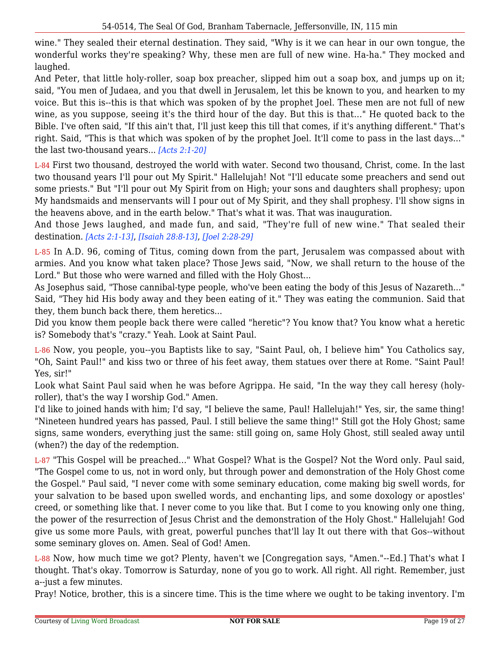wine." They sealed their eternal destination. They said, "Why is it we can hear in our own tongue, the wonderful works they're speaking? Why, these men are full of new wine. Ha-ha." They mocked and laughed.

And Peter, that little holy-roller, soap box preacher, slipped him out a soap box, and jumps up on it; said, "You men of Judaea, and you that dwell in Jerusalem, let this be known to you, and hearken to my voice. But this is--this is that which was spoken of by the prophet Joel. These men are not full of new wine, as you suppose, seeing it's the third hour of the day. But this is that..." He quoted back to the Bible. I've often said, "If this ain't that, I'll just keep this till that comes, if it's anything different." That's right. Said, "This is that which was spoken of by the prophet Joel. It'll come to pass in the last days..." the last two-thousand years... *[Acts 2:1-20]*

L-84 First two thousand, destroyed the world with water. Second two thousand, Christ, come. In the last two thousand years I'll pour out My Spirit." Hallelujah! Not "I'll educate some preachers and send out some priests." But "I'll pour out My Spirit from on High; your sons and daughters shall prophesy; upon My handsmaids and menservants will I pour out of My Spirit, and they shall prophesy. I'll show signs in the heavens above, and in the earth below." That's what it was. That was inauguration.

And those Jews laughed, and made fun, and said, "They're full of new wine." That sealed their destination. *[Acts 2:1-13]*, *[Isaiah 28:8-13]*, *[Joel 2:28-29]*

L-85 In A.D. 96, coming of Titus, coming down from the part, Jerusalem was compassed about with armies. And you know what taken place? Those Jews said, "Now, we shall return to the house of the Lord." But those who were warned and filled with the Holy Ghost...

As Josephus said, "Those cannibal-type people, who've been eating the body of this Jesus of Nazareth..." Said, "They hid His body away and they been eating of it." They was eating the communion. Said that they, them bunch back there, them heretics...

Did you know them people back there were called "heretic"? You know that? You know what a heretic is? Somebody that's "crazy." Yeah. Look at Saint Paul.

L-86 Now, you people, you--you Baptists like to say, "Saint Paul, oh, I believe him" You Catholics say, "Oh, Saint Paul!" and kiss two or three of his feet away, them statues over there at Rome. "Saint Paul! Yes, sir!"

Look what Saint Paul said when he was before Agrippa. He said, "In the way they call heresy (holyroller), that's the way I worship God." Amen.

I'd like to joined hands with him; I'd say, "I believe the same, Paul! Hallelujah!" Yes, sir, the same thing! "Nineteen hundred years has passed, Paul. I still believe the same thing!" Still got the Holy Ghost; same signs, same wonders, everything just the same: still going on, same Holy Ghost, still sealed away until (when?) the day of the redemption.

L-87 "This Gospel will be preached..." What Gospel? What is the Gospel? Not the Word only. Paul said, "The Gospel come to us, not in word only, but through power and demonstration of the Holy Ghost come the Gospel." Paul said, "I never come with some seminary education, come making big swell words, for your salvation to be based upon swelled words, and enchanting lips, and some doxology or apostles' creed, or something like that. I never come to you like that. But I come to you knowing only one thing, the power of the resurrection of Jesus Christ and the demonstration of the Holy Ghost." Hallelujah! God give us some more Pauls, with great, powerful punches that'll lay It out there with that Gos--without some seminary gloves on. Amen. Seal of God! Amen.

L-88 Now, how much time we got? Plenty, haven't we [Congregation says, "Amen."--Ed.] That's what I thought. That's okay. Tomorrow is Saturday, none of you go to work. All right. All right. Remember, just a--just a few minutes.

Pray! Notice, brother, this is a sincere time. This is the time where we ought to be taking inventory. I'm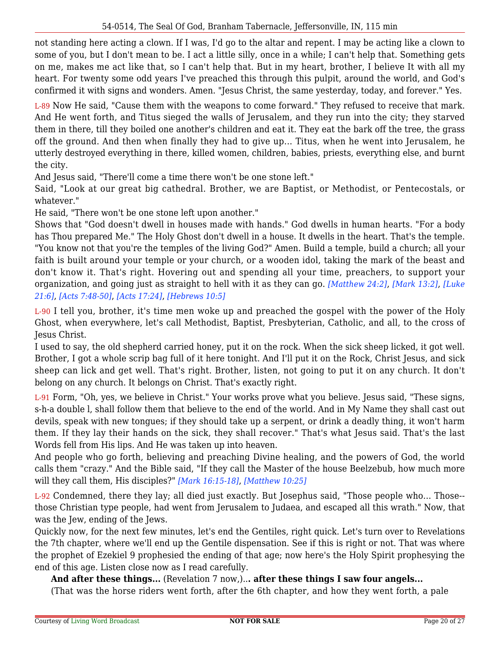not standing here acting a clown. If I was, I'd go to the altar and repent. I may be acting like a clown to some of you, but I don't mean to be. I act a little silly, once in a while; I can't help that. Something gets on me, makes me act like that, so I can't help that. But in my heart, brother, I believe It with all my heart. For twenty some odd years I've preached this through this pulpit, around the world, and God's confirmed it with signs and wonders. Amen. "Jesus Christ, the same yesterday, today, and forever." Yes.

L-89 Now He said, "Cause them with the weapons to come forward." They refused to receive that mark. And He went forth, and Titus sieged the walls of Jerusalem, and they run into the city; they starved them in there, till they boiled one another's children and eat it. They eat the bark off the tree, the grass off the ground. And then when finally they had to give up... Titus, when he went into Jerusalem, he utterly destroyed everything in there, killed women, children, babies, priests, everything else, and burnt the city.

And Jesus said, "There'll come a time there won't be one stone left."

Said, "Look at our great big cathedral. Brother, we are Baptist, or Methodist, or Pentecostals, or whatever."

He said, "There won't be one stone left upon another."

Shows that "God doesn't dwell in houses made with hands." God dwells in human hearts. "For a body has Thou prepared Me." The Holy Ghost don't dwell in a house. It dwells in the heart. That's the temple. "You know not that you're the temples of the living God?" Amen. Build a temple, build a church; all your faith is built around your temple or your church, or a wooden idol, taking the mark of the beast and don't know it. That's right. Hovering out and spending all your time, preachers, to support your organization, and going just as straight to hell with it as they can go. *[Matthew 24:2]*, *[Mark 13:2]*, *[Luke 21:6]*, *[Acts 7:48-50]*, *[Acts 17:24]*, *[Hebrews 10:5]*

L-90 I tell you, brother, it's time men woke up and preached the gospel with the power of the Holy Ghost, when everywhere, let's call Methodist, Baptist, Presbyterian, Catholic, and all, to the cross of Jesus Christ.

I used to say, the old shepherd carried honey, put it on the rock. When the sick sheep licked, it got well. Brother, I got a whole scrip bag full of it here tonight. And I'll put it on the Rock, Christ Jesus, and sick sheep can lick and get well. That's right. Brother, listen, not going to put it on any church. It don't belong on any church. It belongs on Christ. That's exactly right.

L-91 Form, "Oh, yes, we believe in Christ." Your works prove what you believe. Jesus said, "These signs, s-h-a double l, shall follow them that believe to the end of the world. And in My Name they shall cast out devils, speak with new tongues; if they should take up a serpent, or drink a deadly thing, it won't harm them. If they lay their hands on the sick, they shall recover." That's what Jesus said. That's the last Words fell from His lips. And He was taken up into heaven.

And people who go forth, believing and preaching Divine healing, and the powers of God, the world calls them "crazy." And the Bible said, "If they call the Master of the house Beelzebub, how much more will they call them, His disciples?" *[Mark 16:15-18]*, *[Matthew 10:25]*

L-92 Condemned, there they lay; all died just exactly. But Josephus said, "Those people who... Those- those Christian type people, had went from Jerusalem to Judaea, and escaped all this wrath." Now, that was the Jew, ending of the Jews.

Quickly now, for the next few minutes, let's end the Gentiles, right quick. Let's turn over to Revelations the 7th chapter, where we'll end up the Gentile dispensation. See if this is right or not. That was where the prophet of Ezekiel 9 prophesied the ending of that age; now here's the Holy Spirit prophesying the end of this age. Listen close now as I read carefully.

**And after these things...** (Revelation 7 now,)..**. after these things I saw four angels...**

(That was the horse riders went forth, after the 6th chapter, and how they went forth, a pale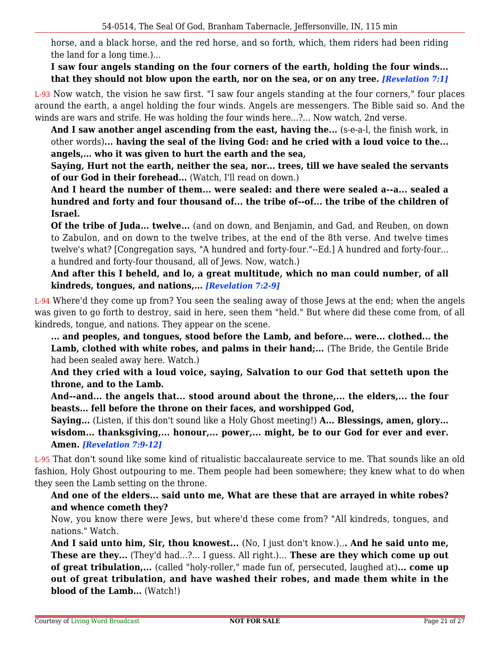horse, and a black horse, and the red horse, and so forth, which, them riders had been riding the land for a long time.)...

### **I saw four angels standing on the four corners of the earth, holding the four winds... that they should not blow upon the earth, nor on the sea, or on any tree.** *[Revelation 7:1]*

L-93 Now watch, the vision he saw first. "I saw four angels standing at the four corners," four places around the earth, a angel holding the four winds. Angels are messengers. The Bible said so. And the winds are wars and strife. He was holding the four winds here...?... Now watch, 2nd verse.

And I saw another angel ascending from the east, having the... (s-e-a-l, the finish work, in other words)**... having the seal of the living God: and he cried with a loud voice to the... angels,... who it was given to hurt the earth and the sea,**

**Saying, Hurt not the earth, neither the sea, nor... trees, till we have sealed the servants of our God in their forehead...** (Watch, I'll read on down.)

**And I heard the number of them... were sealed: and there were sealed a--a... sealed a hundred and forty and four thousand of... the tribe of--of... the tribe of the children of Israel.**

**Of the tribe of Juda... twelve...** (and on down, and Benjamin, and Gad, and Reuben, on down to Zabulon, and on down to the twelve tribes, at the end of the 8th verse. And twelve times twelve's what? [Congregation says, "A hundred and forty-four."--Ed.] A hundred and forty-four... a hundred and forty-four thousand, all of Jews. Now, watch.)

**And after this I beheld, and lo, a great multitude, which no man could number, of all kindreds, tongues, and nations,...** *[Revelation 7:2-9]*

L-94 Where'd they come up from? You seen the sealing away of those Jews at the end; when the angels was given to go forth to destroy, said in here, seen them "held." But where did these come from, of all kindreds, tongue, and nations. They appear on the scene.

**... and peoples, and tongues, stood before the Lamb, and before... were... clothed... the** Lamb, clothed with white robes, and palms in their hand;... (The Bride, the Gentile Bride had been sealed away here. Watch.)

**And they cried with a loud voice, saying, Salvation to our God that setteth upon the throne, and to the Lamb.**

**And--and... the angels that... stood around about the throne,... the elders,... the four beasts... fell before the throne on their faces, and worshipped God,**

**Saying...** (Listen, if this don't sound like a Holy Ghost meeting!) **A... Blessings, amen, glory... wisdom... thanksgiving,... honour,... power,... might, be to our God for ever and ever. Amen.** *[Revelation 7:9-12]*

L-95 That don't sound like some kind of ritualistic baccalaureate service to me. That sounds like an old fashion, Holy Ghost outpouring to me. Them people had been somewhere; they knew what to do when they seen the Lamb setting on the throne.

# **And one of the elders... said unto me, What are these that are arrayed in white robes? and whence cometh they?**

Now, you know there were Jews, but where'd these come from? "All kindreds, tongues, and nations." Watch.

**And I said unto him, Sir, thou knowest...** (No, I just don't know.)..**. And he said unto me, These are they...** (They'd had...?... I guess. All right.)... **These are they which come up out of great tribulation,...** (called "holy-roller," made fun of, persecuted, laughed at)**... come up out of great tribulation, and have washed their robes, and made them white in the blood of the Lamb...** (Watch!)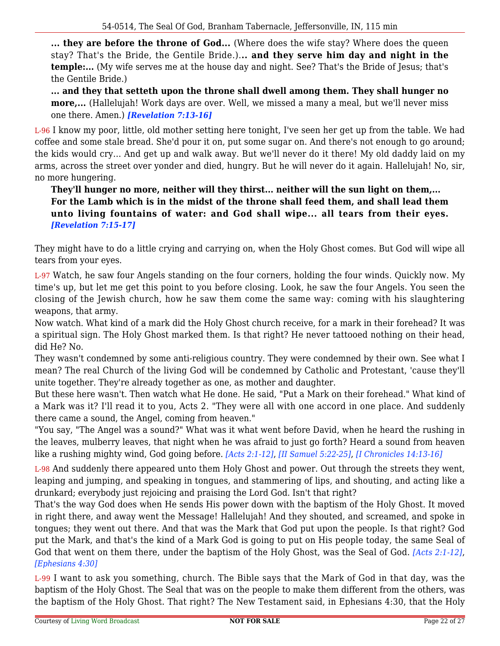**... they are before the throne of God...** (Where does the wife stay? Where does the queen stay? That's the Bride, the Gentile Bride.).**.. and they serve him day and night in the temple:...** (My wife serves me at the house day and night. See? That's the Bride of Jesus; that's the Gentile Bride.)

**... and they that setteth upon the throne shall dwell among them. They shall hunger no more,...** (Hallelujah! Work days are over. Well, we missed a many a meal, but we'll never miss one there. Amen.) *[Revelation 7:13-16]*

L-96 I know my poor, little, old mother setting here tonight, I've seen her get up from the table. We had coffee and some stale bread. She'd pour it on, put some sugar on. And there's not enough to go around; the kids would cry... And get up and walk away. But we'll never do it there! My old daddy laid on my arms, across the street over yonder and died, hungry. But he will never do it again. Hallelujah! No, sir, no more hungering.

**They'll hunger no more, neither will they thirst... neither will the sun light on them,... For the Lamb which is in the midst of the throne shall feed them, and shall lead them unto living fountains of water: and God shall wipe... all tears from their eyes.** *[Revelation 7:15-17]*

They might have to do a little crying and carrying on, when the Holy Ghost comes. But God will wipe all tears from your eyes.

L-97 Watch, he saw four Angels standing on the four corners, holding the four winds. Quickly now. My time's up, but let me get this point to you before closing. Look, he saw the four Angels. You seen the closing of the Jewish church, how he saw them come the same way: coming with his slaughtering weapons, that army.

Now watch. What kind of a mark did the Holy Ghost church receive, for a mark in their forehead? It was a spiritual sign. The Holy Ghost marked them. Is that right? He never tattooed nothing on their head, did He? No.

They wasn't condemned by some anti-religious country. They were condemned by their own. See what I mean? The real Church of the living God will be condemned by Catholic and Protestant, 'cause they'll unite together. They're already together as one, as mother and daughter.

But these here wasn't. Then watch what He done. He said, "Put a Mark on their forehead." What kind of a Mark was it? I'll read it to you, Acts 2. "They were all with one accord in one place. And suddenly there came a sound, the Angel, coming from heaven."

"You say, "The Angel was a sound?" What was it what went before David, when he heard the rushing in the leaves, mulberry leaves, that night when he was afraid to just go forth? Heard a sound from heaven like a rushing mighty wind, God going before. *[Acts 2:1-12]*, *[II Samuel 5:22-25]*, *[I Chronicles 14:13-16]*

L-98 And suddenly there appeared unto them Holy Ghost and power. Out through the streets they went, leaping and jumping, and speaking in tongues, and stammering of lips, and shouting, and acting like a drunkard; everybody just rejoicing and praising the Lord God. Isn't that right?

That's the way God does when He sends His power down with the baptism of the Holy Ghost. It moved in right there, and away went the Message! Hallelujah! And they shouted, and screamed, and spoke in tongues; they went out there. And that was the Mark that God put upon the people. Is that right? God put the Mark, and that's the kind of a Mark God is going to put on His people today, the same Seal of God that went on them there, under the baptism of the Holy Ghost, was the Seal of God. *[Acts 2:1-12]*, *[Ephesians 4:30]*

L-99 I want to ask you something, church. The Bible says that the Mark of God in that day, was the baptism of the Holy Ghost. The Seal that was on the people to make them different from the others, was the baptism of the Holy Ghost. That right? The New Testament said, in Ephesians 4:30, that the Holy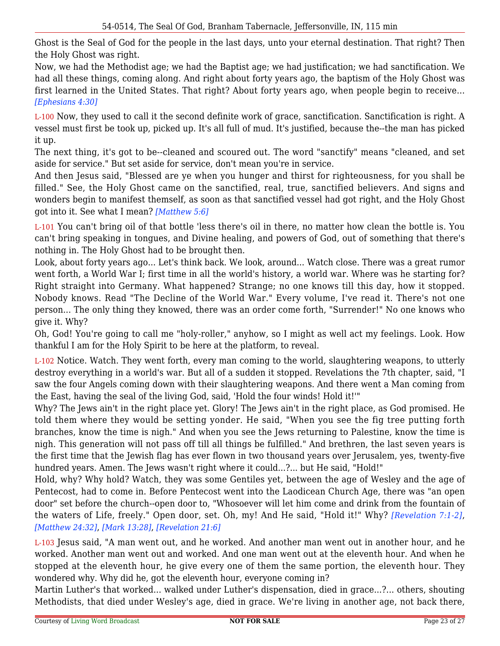Ghost is the Seal of God for the people in the last days, unto your eternal destination. That right? Then the Holy Ghost was right.

Now, we had the Methodist age; we had the Baptist age; we had justification; we had sanctification. We had all these things, coming along. And right about forty years ago, the baptism of the Holy Ghost was first learned in the United States. That right? About forty years ago, when people begin to receive... *[Ephesians 4:30]*

L-100 Now, they used to call it the second definite work of grace, sanctification. Sanctification is right. A vessel must first be took up, picked up. It's all full of mud. It's justified, because the--the man has picked it up.

The next thing, it's got to be--cleaned and scoured out. The word "sanctify" means "cleaned, and set aside for service." But set aside for service, don't mean you're in service.

And then Jesus said, "Blessed are ye when you hunger and thirst for righteousness, for you shall be filled." See, the Holy Ghost came on the sanctified, real, true, sanctified believers. And signs and wonders begin to manifest themself, as soon as that sanctified vessel had got right, and the Holy Ghost got into it. See what I mean? *[Matthew 5:6]*

L-101 You can't bring oil of that bottle 'less there's oil in there, no matter how clean the bottle is. You can't bring speaking in tongues, and Divine healing, and powers of God, out of something that there's nothing in. The Holy Ghost had to be brought then.

Look, about forty years ago... Let's think back. We look, around... Watch close. There was a great rumor went forth, a World War I; first time in all the world's history, a world war. Where was he starting for? Right straight into Germany. What happened? Strange; no one knows till this day, how it stopped. Nobody knows. Read "The Decline of the World War." Every volume, I've read it. There's not one person... The only thing they knowed, there was an order come forth, "Surrender!" No one knows who give it. Why?

Oh, God! You're going to call me "holy-roller," anyhow, so I might as well act my feelings. Look. How thankful I am for the Holy Spirit to be here at the platform, to reveal.

L-102 Notice. Watch. They went forth, every man coming to the world, slaughtering weapons, to utterly destroy everything in a world's war. But all of a sudden it stopped. Revelations the 7th chapter, said, "I saw the four Angels coming down with their slaughtering weapons. And there went a Man coming from the East, having the seal of the living God, said, 'Hold the four winds! Hold it!'"

Why? The Jews ain't in the right place yet. Glory! The Jews ain't in the right place, as God promised. He told them where they would be setting yonder. He said, "When you see the fig tree putting forth branches, know the time is nigh." And when you see the Jews returning to Palestine, know the time is nigh. This generation will not pass off till all things be fulfilled." And brethren, the last seven years is the first time that the Jewish flag has ever flown in two thousand years over Jerusalem, yes, twenty-five hundred years. Amen. The Jews wasn't right where it could...?... but He said, "Hold!"

Hold, why? Why hold? Watch, they was some Gentiles yet, between the age of Wesley and the age of Pentecost, had to come in. Before Pentecost went into the Laodicean Church Age, there was "an open door" set before the church--open door to, "Whosoever will let him come and drink from the fountain of the waters of Life, freely." Open door, set. Oh, my! And He said, "Hold it!" Why? *[Revelation 7:1-2]*, *[Matthew 24:32]*, *[Mark 13:28]*, *[Revelation 21:6]*

L-103 Jesus said, "A man went out, and he worked. And another man went out in another hour, and he worked. Another man went out and worked. And one man went out at the eleventh hour. And when he stopped at the eleventh hour, he give every one of them the same portion, the eleventh hour. They wondered why. Why did he, got the eleventh hour, everyone coming in?

Martin Luther's that worked... walked under Luther's dispensation, died in grace...?... others, shouting Methodists, that died under Wesley's age, died in grace. We're living in another age, not back there,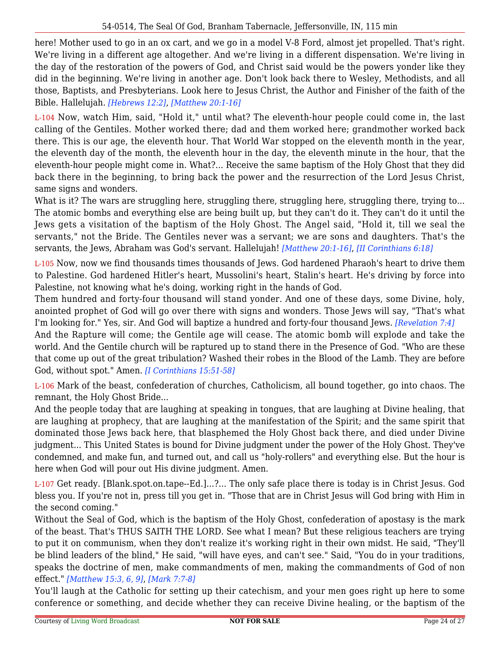here! Mother used to go in an ox cart, and we go in a model V-8 Ford, almost jet propelled. That's right. We're living in a different age altogether. And we're living in a different dispensation. We're living in the day of the restoration of the powers of God, and Christ said would be the powers yonder like they did in the beginning. We're living in another age. Don't look back there to Wesley, Methodists, and all those, Baptists, and Presbyterians. Look here to Jesus Christ, the Author and Finisher of the faith of the Bible. Hallelujah. *[Hebrews 12:2]*, *[Matthew 20:1-16]*

L-104 Now, watch Him, said, "Hold it," until what? The eleventh-hour people could come in, the last calling of the Gentiles. Mother worked there; dad and them worked here; grandmother worked back there. This is our age, the eleventh hour. That World War stopped on the eleventh month in the year, the eleventh day of the month, the eleventh hour in the day, the eleventh minute in the hour, that the eleventh-hour people might come in. What?... Receive the same baptism of the Holy Ghost that they did back there in the beginning, to bring back the power and the resurrection of the Lord Jesus Christ, same signs and wonders.

What is it? The wars are struggling here, struggling there, struggling here, struggling there, trying to... The atomic bombs and everything else are being built up, but they can't do it. They can't do it until the Jews gets a visitation of the baptism of the Holy Ghost. The Angel said, "Hold it, till we seal the servants," not the Bride. The Gentiles never was a servant; we are sons and daughters. That's the servants, the Jews, Abraham was God's servant. Hallelujah! *[Matthew 20:1-16]*, *[II Corinthians 6:18]*

L-105 Now, now we find thousands times thousands of Jews. God hardened Pharaoh's heart to drive them to Palestine. God hardened Hitler's heart, Mussolini's heart, Stalin's heart. He's driving by force into Palestine, not knowing what he's doing, working right in the hands of God.

Them hundred and forty-four thousand will stand yonder. And one of these days, some Divine, holy, anointed prophet of God will go over there with signs and wonders. Those Jews will say, "That's what I'm looking for." Yes, sir. And God will baptize a hundred and forty-four thousand Jews. *[Revelation 7:4]*

And the Rapture will come; the Gentile age will cease. The atomic bomb will explode and take the world. And the Gentile church will be raptured up to stand there in the Presence of God. "Who are these that come up out of the great tribulation? Washed their robes in the Blood of the Lamb. They are before God, without spot." Amen. *[I Corinthians 15:51-58]*

L-106 Mark of the beast, confederation of churches, Catholicism, all bound together, go into chaos. The remnant, the Holy Ghost Bride...

And the people today that are laughing at speaking in tongues, that are laughing at Divine healing, that are laughing at prophecy, that are laughing at the manifestation of the Spirit; and the same spirit that dominated those Jews back here, that blasphemed the Holy Ghost back there, and died under Divine judgment... This United States is bound for Divine judgment under the power of the Holy Ghost. They've condemned, and make fun, and turned out, and call us "holy-rollers" and everything else. But the hour is here when God will pour out His divine judgment. Amen.

L-107 Get ready. [Blank.spot.on.tape--Ed.]...?... The only safe place there is today is in Christ Jesus. God bless you. If you're not in, press till you get in. "Those that are in Christ Jesus will God bring with Him in the second coming."

Without the Seal of God, which is the baptism of the Holy Ghost, confederation of apostasy is the mark of the beast. That's THUS SAITH THE LORD. See what I mean? But these religious teachers are trying to put it on communism, when they don't realize it's working right in their own midst. He said, "They'll be blind leaders of the blind," He said, "will have eyes, and can't see." Said, "You do in your traditions, speaks the doctrine of men, make commandments of men, making the commandments of God of non effect." *[Matthew 15:3, 6, 9]*, *[Mark 7:7-8]*

You'll laugh at the Catholic for setting up their catechism, and your men goes right up here to some conference or something, and decide whether they can receive Divine healing, or the baptism of the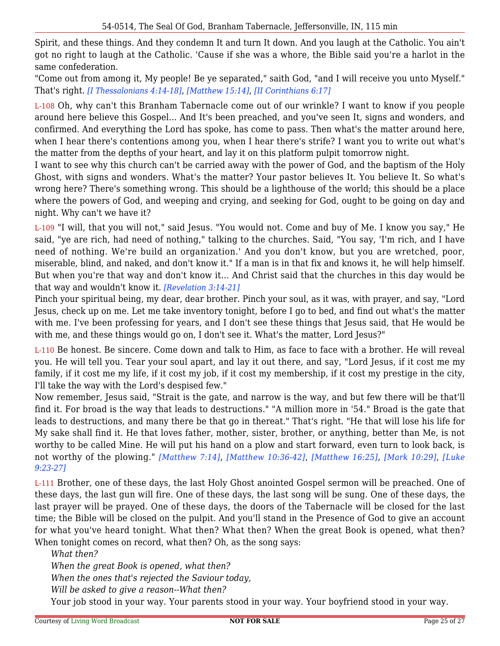Spirit, and these things. And they condemn It and turn It down. And you laugh at the Catholic. You ain't got no right to laugh at the Catholic. 'Cause if she was a whore, the Bible said you're a harlot in the same confederation.

"Come out from among it, My people! Be ye separated," saith God, "and I will receive you unto Myself." That's right. *[I Thessalonians 4:14-18]*, *[Matthew 15:14]*, *[II Corinthians 6:17]*

L-108 Oh, why can't this Branham Tabernacle come out of our wrinkle? I want to know if you people around here believe this Gospel... And It's been preached, and you've seen It, signs and wonders, and confirmed. And everything the Lord has spoke, has come to pass. Then what's the matter around here, when I hear there's contentions among you, when I hear there's strife? I want you to write out what's the matter from the depths of your heart, and lay it on this platform pulpit tomorrow night.

I want to see why this church can't be carried away with the power of God, and the baptism of the Holy Ghost, with signs and wonders. What's the matter? Your pastor believes It. You believe It. So what's wrong here? There's something wrong. This should be a lighthouse of the world; this should be a place where the powers of God, and weeping and crying, and seeking for God, ought to be going on day and night. Why can't we have it?

L-109 "I will, that you will not," said Jesus. "You would not. Come and buy of Me. I know you say," He said, "ye are rich, had need of nothing," talking to the churches. Said, "You say, 'I'm rich, and I have need of nothing. We're build an organization.' And you don't know, but you are wretched, poor, miserable, blind, and naked, and don't know it." If a man is in that fix and knows it, he will help himself. But when you're that way and don't know it... And Christ said that the churches in this day would be that way and wouldn't know it. *[Revelation 3:14-21]*

Pinch your spiritual being, my dear, dear brother. Pinch your soul, as it was, with prayer, and say, "Lord Jesus, check up on me. Let me take inventory tonight, before I go to bed, and find out what's the matter with me. I've been professing for years, and I don't see these things that Jesus said, that He would be with me, and these things would go on, I don't see it. What's the matter, Lord Jesus?"

L-110 Be honest. Be sincere. Come down and talk to Him, as face to face with a brother. He will reveal you. He will tell you. Tear your soul apart, and lay it out there, and say, "Lord Jesus, if it cost me my family, if it cost me my life, if it cost my job, if it cost my membership, if it cost my prestige in the city, I'll take the way with the Lord's despised few."

Now remember, Jesus said, "Strait is the gate, and narrow is the way, and but few there will be that'll find it. For broad is the way that leads to destructions." "A million more in '54." Broad is the gate that leads to destructions, and many there be that go in thereat." That's right. "He that will lose his life for My sake shall find it. He that loves father, mother, sister, brother, or anything, better than Me, is not worthy to be called Mine. He will put his hand on a plow and start forward, even turn to look back, is not worthy of the plowing." *[Matthew 7:14]*, *[Matthew 10:36-42]*, *[Matthew 16:25]*, *[Mark 10:29]*, *[Luke 9:23-27]*

L-111 Brother, one of these days, the last Holy Ghost anointed Gospel sermon will be preached. One of these days, the last gun will fire. One of these days, the last song will be sung. One of these days, the last prayer will be prayed. One of these days, the doors of the Tabernacle will be closed for the last time; the Bible will be closed on the pulpit. And you'll stand in the Presence of God to give an account for what you've heard tonight. What then? What then? When the great Book is opened, what then? When tonight comes on record, what then? Oh, as the song says:

*What then? When the great Book is opened, what then? When the ones that's rejected the Saviour today, Will be asked to give a reason--What then?*

Your job stood in your way. Your parents stood in your way. Your boyfriend stood in your way.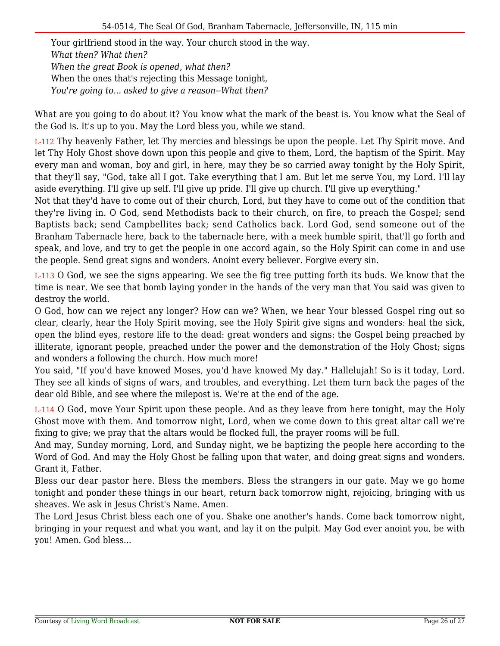Your girlfriend stood in the way. Your church stood in the way. *What then? What then? When the great Book is opened, what then?* When the ones that's rejecting this Message tonight, *You're going to... asked to give a reason--What then?*

What are you going to do about it? You know what the mark of the beast is. You know what the Seal of the God is. It's up to you. May the Lord bless you, while we stand.

L-112 Thy heavenly Father, let Thy mercies and blessings be upon the people. Let Thy Spirit move. And let Thy Holy Ghost shove down upon this people and give to them, Lord, the baptism of the Spirit. May every man and woman, boy and girl, in here, may they be so carried away tonight by the Holy Spirit, that they'll say, "God, take all I got. Take everything that I am. But let me serve You, my Lord. I'll lay aside everything. I'll give up self. I'll give up pride. I'll give up church. I'll give up everything."

Not that they'd have to come out of their church, Lord, but they have to come out of the condition that they're living in. O God, send Methodists back to their church, on fire, to preach the Gospel; send Baptists back; send Campbellites back; send Catholics back. Lord God, send someone out of the Branham Tabernacle here, back to the tabernacle here, with a meek humble spirit, that'll go forth and speak, and love, and try to get the people in one accord again, so the Holy Spirit can come in and use the people. Send great signs and wonders. Anoint every believer. Forgive every sin.

L-113 O God, we see the signs appearing. We see the fig tree putting forth its buds. We know that the time is near. We see that bomb laying yonder in the hands of the very man that You said was given to destroy the world.

O God, how can we reject any longer? How can we? When, we hear Your blessed Gospel ring out so clear, clearly, hear the Holy Spirit moving, see the Holy Spirit give signs and wonders: heal the sick, open the blind eyes, restore life to the dead: great wonders and signs: the Gospel being preached by illiterate, ignorant people, preached under the power and the demonstration of the Holy Ghost; signs and wonders a following the church. How much more!

You said, "If you'd have knowed Moses, you'd have knowed My day." Hallelujah! So is it today, Lord. They see all kinds of signs of wars, and troubles, and everything. Let them turn back the pages of the dear old Bible, and see where the milepost is. We're at the end of the age.

L-114 O God, move Your Spirit upon these people. And as they leave from here tonight, may the Holy Ghost move with them. And tomorrow night, Lord, when we come down to this great altar call we're fixing to give; we pray that the altars would be flocked full, the prayer rooms will be full.

And may, Sunday morning, Lord, and Sunday night, we be baptizing the people here according to the Word of God. And may the Holy Ghost be falling upon that water, and doing great signs and wonders. Grant it, Father.

Bless our dear pastor here. Bless the members. Bless the strangers in our gate. May we go home tonight and ponder these things in our heart, return back tomorrow night, rejoicing, bringing with us sheaves. We ask in Jesus Christ's Name. Amen.

The Lord Jesus Christ bless each one of you. Shake one another's hands. Come back tomorrow night, bringing in your request and what you want, and lay it on the pulpit. May God ever anoint you, be with you! Amen. God bless...